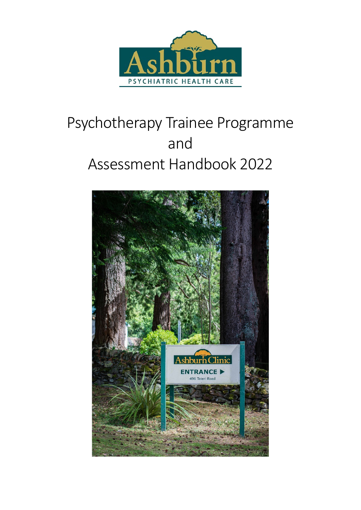

# Psychotherapy Trainee Programme and Assessment Handbook 2022

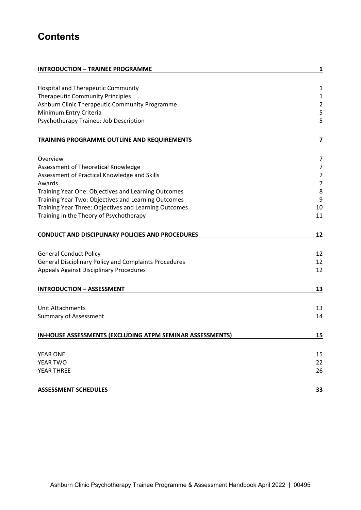# **Contents**

| <b>INTRODUCTION - TRAINEE PROGRAMME</b>                      | 1                       |
|--------------------------------------------------------------|-------------------------|
|                                                              |                         |
| <b>Hospital and Therapeutic Community</b>                    | $\mathbf{1}$            |
| <b>Therapeutic Community Principles</b>                      | 1                       |
| Ashburn Clinic Therapeutic Community Programme               | $\overline{2}$          |
| Minimum Entry Criteria                                       | 5                       |
| Psychotherapy Trainee: Job Description                       | 5                       |
| TRAINING PROGRAMME OUTLINE AND REQUIREMENTS                  | $\overline{\mathbf{z}}$ |
| Overview                                                     | 7                       |
| Assessment of Theoretical Knowledge                          | 7                       |
| Assessment of Practical Knowledge and Skills                 | 7                       |
| Awards                                                       | $\overline{7}$          |
| Training Year One: Objectives and Learning Outcomes          | 8                       |
| Training Year Two: Objectives and Learning Outcomes          | 9                       |
| Training Year Three: Objectives and Learning Outcomes        | 10                      |
| Training in the Theory of Psychotherapy                      | 11                      |
| <b>CONDUCT AND DISCIPLINARY POLICIES AND PROCEDURES</b>      | 12                      |
| <b>General Conduct Policy</b>                                | 12                      |
| <b>General Disciplinary Policy and Complaints Procedures</b> | 12                      |
| <b>Appeals Against Disciplinary Procedures</b>               | 12                      |
| <b>INTRODUCTION - ASSESSMENT</b>                             | 13                      |
| <b>Unit Attachments</b>                                      | 13                      |
| Summary of Assessment                                        | 14                      |
| IN-HOUSE ASSESSMENTS (EXCLUDING ATPM SEMINAR ASSESSMENTS)    | 15                      |
|                                                              |                         |
| <b>YEAR ONE</b>                                              | 15                      |
| YEAR TWO                                                     | 22                      |
| YEAR THREE                                                   | 26                      |
| <b>ASSESSMENT SCHEDULES</b>                                  | <u>33</u>               |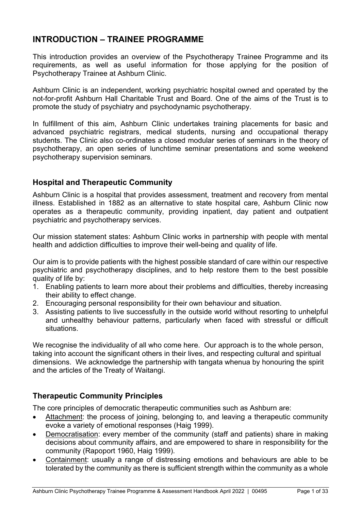# **INTRODUCTION – TRAINEE PROGRAMME**

This introduction provides an overview of the Psychotherapy Trainee Programme and its requirements, as well as useful information for those applying for the position of Psychotherapy Trainee at Ashburn Clinic.

Ashburn Clinic is an independent, working psychiatric hospital owned and operated by the not-for-profit Ashburn Hall Charitable Trust and Board. One of the aims of the Trust is to promote the study of psychiatry and psychodynamic psychotherapy.

In fulfillment of this aim, Ashburn Clinic undertakes training placements for basic and advanced psychiatric registrars, medical students, nursing and occupational therapy students. The Clinic also co-ordinates a closed modular series of seminars in the theory of psychotherapy, an open series of lunchtime seminar presentations and some weekend psychotherapy supervision seminars.

# **Hospital and Therapeutic Community**

Ashburn Clinic is a hospital that provides assessment, treatment and recovery from mental illness. Established in 1882 as an alternative to state hospital care, Ashburn Clinic now operates as a therapeutic community, providing inpatient, day patient and outpatient psychiatric and psychotherapy services.

Our mission statement states: Ashburn Clinic works in partnership with people with mental health and addiction difficulties to improve their well-being and quality of life.

Our aim is to provide patients with the highest possible standard of care within our respective psychiatric and psychotherapy disciplines, and to help restore them to the best possible quality of life by:

- 1. Enabling patients to learn more about their problems and difficulties, thereby increasing their ability to effect change.
- 2. Encouraging personal responsibility for their own behaviour and situation.
- 3. Assisting patients to live successfully in the outside world without resorting to unhelpful and unhealthy behaviour patterns, particularly when faced with stressful or difficult situations.

We recognise the individuality of all who come here. Our approach is to the whole person, taking into account the significant others in their lives, and respecting cultural and spiritual dimensions. We acknowledge the partnership with tangata whenua by honouring the spirit and the articles of the Treaty of Waitangi.

# **Therapeutic Community Principles**

The core principles of democratic therapeutic communities such as Ashburn are:

- Attachment: the process of joining, belonging to, and leaving a therapeutic community evoke a variety of emotional responses (Haig 1999).
- Democratisation: every member of the community (staff and patients) share in making decisions about community affairs, and are empowered to share in responsibility for the community (Rapoport 1960, Haig 1999).
- Containment: usually a range of distressing emotions and behaviours are able to be tolerated by the community as there is sufficient strength within the community as a whole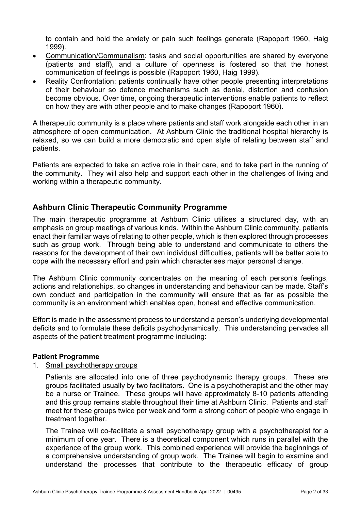to contain and hold the anxiety or pain such feelings generate (Rapoport 1960, Haig 1999).

- Communication/Communalism: tasks and social opportunities are shared by everyone (patients and staff), and a culture of openness is fostered so that the honest communication of feelings is possible (Rapoport 1960, Haig 1999).
- Reality Confrontation: patients continually have other people presenting interpretations of their behaviour so defence mechanisms such as denial, distortion and confusion become obvious. Over time, ongoing therapeutic interventions enable patients to reflect on how they are with other people and to make changes (Rapoport 1960).

A therapeutic community is a place where patients and staff work alongside each other in an atmosphere of open communication. At Ashburn Clinic the traditional hospital hierarchy is relaxed, so we can build a more democratic and open style of relating between staff and patients.

Patients are expected to take an active role in their care, and to take part in the running of the community. They will also help and support each other in the challenges of living and working within a therapeutic community.

#### **Ashburn Clinic Therapeutic Community Programme**

The main therapeutic programme at Ashburn Clinic utilises a structured day, with an emphasis on group meetings of various kinds. Within the Ashburn Clinic community, patients enact their familiar ways of relating to other people, which is then explored through processes such as group work. Through being able to understand and communicate to others the reasons for the development of their own individual difficulties, patients will be better able to cope with the necessary effort and pain which characterises major personal change.

The Ashburn Clinic community concentrates on the meaning of each person's feelings, actions and relationships, so changes in understanding and behaviour can be made. Staff's own conduct and participation in the community will ensure that as far as possible the community is an environment which enables open, honest and effective communication.

Effort is made in the assessment process to understand a person's underlying developmental deficits and to formulate these deficits psychodynamically. This understanding pervades all aspects of the patient treatment programme including:

#### **Patient Programme**

1. Small psychotherapy groups

Patients are allocated into one of three psychodynamic therapy groups. These are groups facilitated usually by two facilitators. One is a psychotherapist and the other may be a nurse or Trainee. These groups will have approximately 8-10 patients attending and this group remains stable throughout their time at Ashburn Clinic. Patients and staff meet for these groups twice per week and form a strong cohort of people who engage in treatment together.

The Trainee will co-facilitate a small psychotherapy group with a psychotherapist for a minimum of one year. There is a theoretical component which runs in parallel with the experience of the group work. This combined experience will provide the beginnings of a comprehensive understanding of group work. The Trainee will begin to examine and understand the processes that contribute to the therapeutic efficacy of group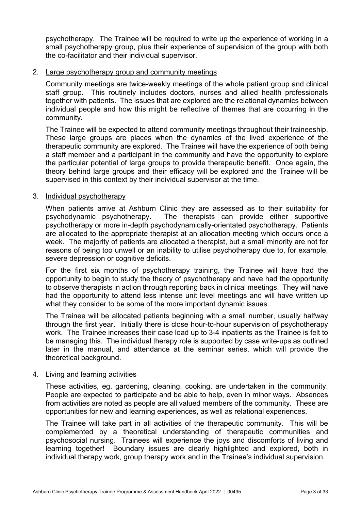psychotherapy. The Trainee will be required to write up the experience of working in a small psychotherapy group, plus their experience of supervision of the group with both the co-facilitator and their individual supervisor.

#### 2. Large psychotherapy group and community meetings

Community meetings are twice-weekly meetings of the whole patient group and clinical staff group. This routinely includes doctors, nurses and allied health professionals together with patients. The issues that are explored are the relational dynamics between individual people and how this might be reflective of themes that are occurring in the community.

The Trainee will be expected to attend community meetings throughout their traineeship. These large groups are places when the dynamics of the lived experience of the therapeutic community are explored. The Trainee will have the experience of both being a staff member and a participant in the community and have the opportunity to explore the particular potential of large groups to provide therapeutic benefit. Once again, the theory behind large groups and their efficacy will be explored and the Trainee will be supervised in this context by their individual supervisor at the time.

#### 3. Individual psychotherapy

When patients arrive at Ashburn Clinic they are assessed as to their suitability for psychodynamic psychotherapy. The therapists can provide either supportive psychotherapy or more in-depth psychodynamically-orientated psychotherapy. Patients are allocated to the appropriate therapist at an allocation meeting which occurs once a week. The majority of patients are allocated a therapist, but a small minority are not for reasons of being too unwell or an inability to utilise psychotherapy due to, for example, severe depression or cognitive deficits.

For the first six months of psychotherapy training, the Trainee will have had the opportunity to begin to study the theory of psychotherapy and have had the opportunity to observe therapists in action through reporting back in clinical meetings. They will have had the opportunity to attend less intense unit level meetings and will have written up what they consider to be some of the more important dynamic issues.

The Trainee will be allocated patients beginning with a small number, usually halfway through the first year. Initially there is close hour-to-hour supervision of psychotherapy work. The Trainee increases their case load up to 3-4 inpatients as the Trainee is felt to be managing this. The individual therapy role is supported by case write-ups as outlined later in the manual, and attendance at the seminar series, which will provide the theoretical background.

#### 4. Living and learning activities

These activities, eg. gardening, cleaning, cooking, are undertaken in the community. People are expected to participate and be able to help, even in minor ways. Absences from activities are noted as people are all valued members of the community. These are opportunities for new and learning experiences, as well as relational experiences.

The Trainee will take part in all activities of the therapeutic community. This will be complemented by a theoretical understanding of therapeutic communities and psychosocial nursing. Trainees will experience the joys and discomforts of living and learning together! Boundary issues are clearly highlighted and explored, both in individual therapy work, group therapy work and in the Trainee's individual supervision.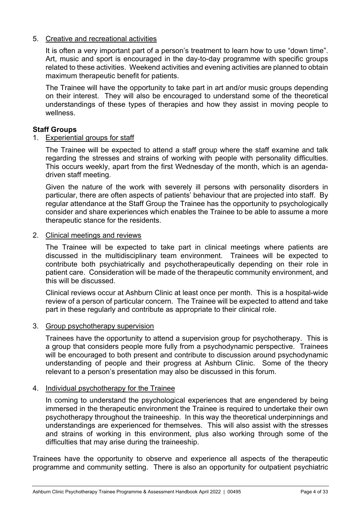#### 5. Creative and recreational activities

It is often a very important part of a person's treatment to learn how to use "down time". Art, music and sport is encouraged in the day-to-day programme with specific groups related to these activities. Weekend activities and evening activities are planned to obtain maximum therapeutic benefit for patients.

The Trainee will have the opportunity to take part in art and/or music groups depending on their interest. They will also be encouraged to understand some of the theoretical understandings of these types of therapies and how they assist in moving people to wellness.

#### **Staff Groups**

#### 1. Experiential groups for staff

The Trainee will be expected to attend a staff group where the staff examine and talk regarding the stresses and strains of working with people with personality difficulties. This occurs weekly, apart from the first Wednesday of the month, which is an agendadriven staff meeting.

Given the nature of the work with severely ill persons with personality disorders in particular, there are often aspects of patients' behaviour that are projected into staff. By regular attendance at the Staff Group the Trainee has the opportunity to psychologically consider and share experiences which enables the Trainee to be able to assume a more therapeutic stance for the residents.

#### 2. Clinical meetings and reviews

The Trainee will be expected to take part in clinical meetings where patients are discussed in the multidisciplinary team environment. Trainees will be expected to contribute both psychiatrically and psychotherapeutically depending on their role in patient care. Consideration will be made of the therapeutic community environment, and this will be discussed.

Clinical reviews occur at Ashburn Clinic at least once per month. This is a hospital-wide review of a person of particular concern. The Trainee will be expected to attend and take part in these regularly and contribute as appropriate to their clinical role.

#### 3. Group psychotherapy supervision

Trainees have the opportunity to attend a supervision group for psychotherapy. This is a group that considers people more fully from a psychodynamic perspective. Trainees will be encouraged to both present and contribute to discussion around psychodynamic understanding of people and their progress at Ashburn Clinic. Some of the theory relevant to a person's presentation may also be discussed in this forum.

#### 4. Individual psychotherapy for the Trainee

In coming to understand the psychological experiences that are engendered by being immersed in the therapeutic environment the Trainee is required to undertake their own psychotherapy throughout the traineeship. In this way the theoretical underpinnings and understandings are experienced for themselves. This will also assist with the stresses and strains of working in this environment, plus also working through some of the difficulties that may arise during the traineeship.

Trainees have the opportunity to observe and experience all aspects of the therapeutic programme and community setting. There is also an opportunity for outpatient psychiatric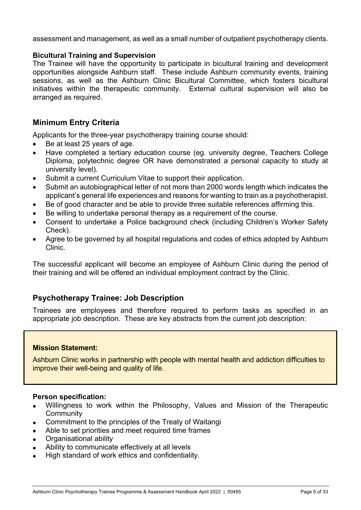assessment and management, as well as a small number of outpatient psychotherapy clients.

#### **Bicultural Training and Supervision**

The Trainee will have the opportunity to participate in bicultural training and development opportunities alongside Ashburn staff. These include Ashburn community events, training sessions, as well as the Ashburn Clinic Bicultural Committee, which fosters bicultural initiatives within the therapeutic community. External cultural supervision will also be arranged as required.

#### **Minimum Entry Criteria**

Applicants for the three-year psychotherapy training course should:

- Be at least 25 years of age.
- Have completed a tertiary education course (eg. university degree, Teachers College Diploma, polytechnic degree OR have demonstrated a personal capacity to study at university level).
- Submit a current Curriculum Vitae to support their application.
- Submit an autobiographical letter of not more than 2000 words length which indicates the applicant's general life experiences and reasons for wanting to train as a psychotherapist.
- Be of good character and be able to provide three suitable references affirming this.
- Be willing to undertake personal therapy as a requirement of the course.
- Consent to undertake a Police background check (including Children's Worker Safety Check).
- Agree to be governed by all hospital regulations and codes of ethics adopted by Ashburn Clinic.

The successful applicant will become an employee of Ashburn Clinic during the period of their training and will be offered an individual employment contract by the Clinic.

#### **Psychotherapy Trainee: Job Description**

Trainees are employees and therefore required to perform tasks as specified in an appropriate job description. These are key abstracts from the current job description:

#### **Mission Statement:**

Ashburn Clinic works in partnership with people with mental health and addiction difficulties to improve their well-being and quality of life.

#### **Person specification:**

- Willingness to work within the Philosophy, Values and Mission of the Therapeutic **Community**
- Commitment to the principles of the Treaty of Waitangi
- Able to set priorities and meet required time frames
- Organisational ability
- Ability to communicate effectively at all levels
- High standard of work ethics and confidentiality.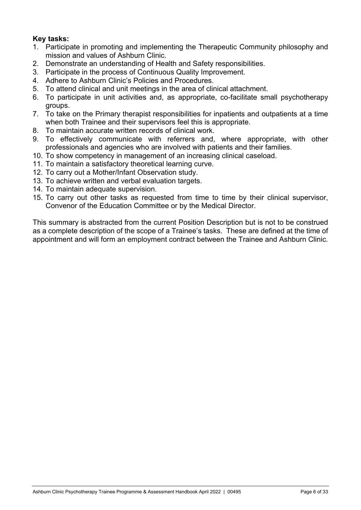#### **Key tasks:**

- 1. Participate in promoting and implementing the Therapeutic Community philosophy and mission and values of Ashburn Clinic.
- 2. Demonstrate an understanding of Health and Safety responsibilities.
- 3. Participate in the process of Continuous Quality Improvement.
- 4. Adhere to Ashburn Clinic's Policies and Procedures.
- 5. To attend clinical and unit meetings in the area of clinical attachment.
- 6. To participate in unit activities and, as appropriate, co-facilitate small psychotherapy groups.
- 7. To take on the Primary therapist responsibilities for inpatients and outpatients at a time when both Trainee and their supervisors feel this is appropriate.
- 8. To maintain accurate written records of clinical work.
- 9. To effectively communicate with referrers and, where appropriate, with other professionals and agencies who are involved with patients and their families.
- 10. To show competency in management of an increasing clinical caseload.
- 11. To maintain a satisfactory theoretical learning curve.
- 12. To carry out a Mother/Infant Observation study.
- 13. To achieve written and verbal evaluation targets.
- 14. To maintain adequate supervision.
- 15. To carry out other tasks as requested from time to time by their clinical supervisor, Convenor of the Education Committee or by the Medical Director.

This summary is abstracted from the current Position Description but is not to be construed as a complete description of the scope of a Trainee's tasks. These are defined at the time of appointment and will form an employment contract between the Trainee and Ashburn Clinic.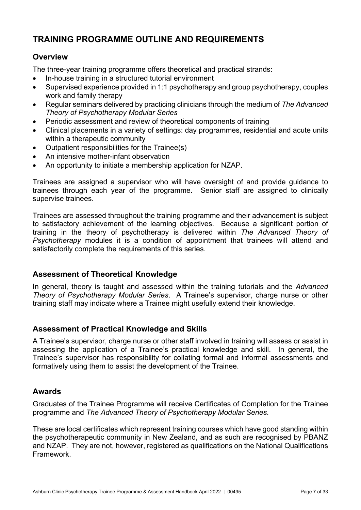# **TRAINING PROGRAMME OUTLINE AND REQUIREMENTS**

### **Overview**

The three-year training programme offers theoretical and practical strands:

- In-house training in a structured tutorial environment
- Supervised experience provided in 1:1 psychotherapy and group psychotherapy, couples work and family therapy
- Regular seminars delivered by practicing clinicians through the medium of *The Advanced Theory of Psychotherapy Modular Series*
- Periodic assessment and review of theoretical components of training
- Clinical placements in a variety of settings: day programmes, residential and acute units within a therapeutic community
- Outpatient responsibilities for the Trainee(s)
- An intensive mother-infant observation
- An opportunity to initiate a membership application for NZAP.

Trainees are assigned a supervisor who will have oversight of and provide guidance to trainees through each year of the programme. Senior staff are assigned to clinically supervise trainees.

Trainees are assessed throughout the training programme and their advancement is subject to satisfactory achievement of the learning objectives. Because a significant portion of training in the theory of psychotherapy is delivered within *The Advanced Theory of Psychotherapy* modules it is a condition of appointment that trainees will attend and satisfactorily complete the requirements of this series.

#### **Assessment of Theoretical Knowledge**

In general, theory is taught and assessed within the training tutorials and the *Advanced Theory of Psychotherapy Modular Series*. A Trainee's supervisor, charge nurse or other training staff may indicate where a Trainee might usefully extend their knowledge.

#### **Assessment of Practical Knowledge and Skills**

A Trainee's supervisor, charge nurse or other staff involved in training will assess or assist in assessing the application of a Trainee's practical knowledge and skill. In general, the Trainee's supervisor has responsibility for collating formal and informal assessments and formatively using them to assist the development of the Trainee.

#### **Awards**

Graduates of the Trainee Programme will receive Certificates of Completion for the Trainee programme and *The Advanced Theory of Psychotherapy Modular Series*.

These are local certificates which represent training courses which have good standing within the psychotherapeutic community in New Zealand, and as such are recognised by PBANZ and NZAP. They are not, however, registered as qualifications on the National Qualifications Framework.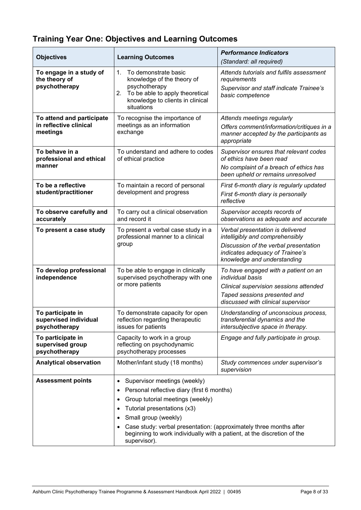# **Training Year One: Objectives and Learning Outcomes**

| <b>Objectives</b>                                               | <b>Learning Outcomes</b>                                                                                                                                                                                                                                                                                                                         | <b>Performance Indicators</b><br>(Standard: all required)                                                                                                                       |  |
|-----------------------------------------------------------------|--------------------------------------------------------------------------------------------------------------------------------------------------------------------------------------------------------------------------------------------------------------------------------------------------------------------------------------------------|---------------------------------------------------------------------------------------------------------------------------------------------------------------------------------|--|
| To engage in a study of<br>the theory of<br>psychotherapy       | 1 <sup>1</sup><br>To demonstrate basic<br>knowledge of the theory of<br>psychotherapy<br>2. To be able to apply theoretical<br>knowledge to clients in clinical<br>situations                                                                                                                                                                    | Attends tutorials and fulfils assessment<br>requirements<br>Supervisor and staff indicate Trainee's<br>basic competence                                                         |  |
| To attend and participate<br>in reflective clinical<br>meetings | To recognise the importance of<br>meetings as an information<br>exchange                                                                                                                                                                                                                                                                         | Attends meetings regularly<br>Offers comment/information/critiques in a<br>manner accepted by the participants as<br>appropriate                                                |  |
| To behave in a<br>professional and ethical<br>manner            | To understand and adhere to codes<br>of ethical practice                                                                                                                                                                                                                                                                                         | Supervisor ensures that relevant codes<br>of ethics have been read<br>No complaint of a breach of ethics has<br>been upheld or remains unresolved                               |  |
| To be a reflective<br>student/practitioner                      | To maintain a record of personal<br>development and progress                                                                                                                                                                                                                                                                                     | First 6-month diary is regularly updated<br>First 6-month diary is personally<br>reflective                                                                                     |  |
| To observe carefully and<br>accurately                          | To carry out a clinical observation<br>and record it                                                                                                                                                                                                                                                                                             | Supervisor accepts records of<br>observations as adequate and accurate                                                                                                          |  |
| To present a case study                                         | To present a verbal case study in a<br>professional manner to a clinical<br>group                                                                                                                                                                                                                                                                | Verbal presentation is delivered<br>intelligibly and comprehensibly<br>Discussion of the verbal presentation<br>indicates adequacy of Trainee's<br>knowledge and understanding  |  |
| To develop professional<br>independence                         | To be able to engage in clinically<br>supervised psychotherapy with one<br>or more patients                                                                                                                                                                                                                                                      | To have engaged with a patient on an<br><i>individual basis</i><br>Clinical supervision sessions attended<br>Taped sessions presented and<br>discussed with clinical supervisor |  |
| To participate in<br>supervised individual<br>psychotherapy     | To demonstrate capacity for open<br>reflection regarding therapeutic<br>issues for patients                                                                                                                                                                                                                                                      | Understanding of unconscious process,<br>transferential dynamics and the<br>intersubjective space in therapy.                                                                   |  |
| To participate in<br>supervised group<br>psychotherapy          | Capacity to work in a group<br>reflecting on psychodynamic<br>psychotherapy processes                                                                                                                                                                                                                                                            | Engage and fully participate in group.                                                                                                                                          |  |
| <b>Analytical observation</b>                                   | Mother/infant study (18 months)                                                                                                                                                                                                                                                                                                                  | Study commences under supervisor's<br>supervision                                                                                                                               |  |
| <b>Assessment points</b>                                        | Supervisor meetings (weekly)<br>Personal reflective diary (first 6 months)<br>Group tutorial meetings (weekly)<br>٠<br>Tutorial presentations (x3)<br>٠<br>Small group (weekly)<br>Case study: verbal presentation: (approximately three months after<br>beginning to work individually with a patient, at the discretion of the<br>supervisor). |                                                                                                                                                                                 |  |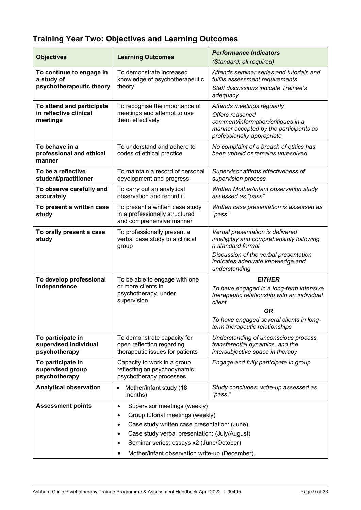# **Training Year Two: Objectives and Learning Outcomes**

| <b>Objectives</b><br><b>Learning Outcomes</b> |                                                              | <b>Performance Indicators</b>                                                           |  |  |
|-----------------------------------------------|--------------------------------------------------------------|-----------------------------------------------------------------------------------------|--|--|
|                                               |                                                              | (Standard: all required)                                                                |  |  |
| To continue to engage in<br>a study of        | To demonstrate increased<br>knowledge of psychotherapeutic   | Attends seminar series and tutorials and<br>fulfils assessment requirements             |  |  |
| psychotherapeutic theory                      | theory                                                       | <b>Staff discussions indicate Trainee's</b>                                             |  |  |
|                                               |                                                              | adequacy                                                                                |  |  |
| To attend and participate                     | To recognise the importance of                               | Attends meetings regularly                                                              |  |  |
| in reflective clinical<br>meetings            | meetings and attempt to use<br>them effectively              | Offers reasoned<br>comment/information/critiques in a                                   |  |  |
|                                               |                                                              | manner accepted by the participants as                                                  |  |  |
|                                               |                                                              | professionally appropriate                                                              |  |  |
| To behave in a                                | To understand and adhere to                                  | No complaint of a breach of ethics has                                                  |  |  |
| professional and ethical<br>manner            | codes of ethical practice                                    | been upheld or remains unresolved                                                       |  |  |
| To be a reflective                            | To maintain a record of personal                             | Supervisor affirms effectiveness of                                                     |  |  |
| student/practitioner                          | development and progress                                     | supervision process                                                                     |  |  |
| To observe carefully and<br>accurately        | To carry out an analytical<br>observation and record it      | Written Mother/infant observation study<br>assessed as "pass"                           |  |  |
| To present a written case                     | To present a written case study                              | Written case presentation is assessed as                                                |  |  |
| study                                         | in a professionally structured<br>and comprehensive manner   | "pass"                                                                                  |  |  |
| To orally present a case                      | To professionally present a                                  | Verbal presentation is delivered                                                        |  |  |
| study                                         | verbal case study to a clinical                              | intelligibly and comprehensibly following                                               |  |  |
|                                               | group                                                        | a standard format                                                                       |  |  |
|                                               |                                                              | Discussion of the verbal presentation<br>indicates adequate knowledge and               |  |  |
|                                               |                                                              | understanding                                                                           |  |  |
| To develop professional                       | To be able to engage with one                                | <b>EITHER</b>                                                                           |  |  |
| independence                                  | or more clients in<br>psychotherapy, under                   | To have engaged in a long-term intensive<br>therapeutic relationship with an individual |  |  |
|                                               | supervision                                                  | client                                                                                  |  |  |
|                                               |                                                              | 0R                                                                                      |  |  |
|                                               |                                                              | To have engaged several clients in long-<br>term therapeutic relationships              |  |  |
| To participate in                             | To demonstrate capacity for                                  | Understanding of unconscious process,                                                   |  |  |
| supervised individual<br>psychotherapy        | open reflection regarding<br>therapeutic issues for patients | transferential dynamics, and the<br>intersubjective space in therapy                    |  |  |
| To participate in                             | Capacity to work in a group                                  | Engage and fully participate in group                                                   |  |  |
| supervised group                              | reflecting on psychodynamic                                  |                                                                                         |  |  |
| psychotherapy                                 | psychotherapy processes                                      |                                                                                         |  |  |
| <b>Analytical observation</b>                 | Mother/infant study (18<br>$\bullet$<br>months)              | Study concludes: write-up assessed as<br>"pass."                                        |  |  |
| <b>Assessment points</b>                      | Supervisor meetings (weekly)<br>$\bullet$                    |                                                                                         |  |  |
|                                               | Group tutorial meetings (weekly)<br>$\bullet$                |                                                                                         |  |  |
|                                               | Case study written case presentation: (June)<br>٠            |                                                                                         |  |  |
|                                               | Case study verbal presentation: (July/August)                |                                                                                         |  |  |
|                                               | Seminar series: essays x2 (June/October)                     |                                                                                         |  |  |
|                                               | Mother/infant observation write-up (December).               |                                                                                         |  |  |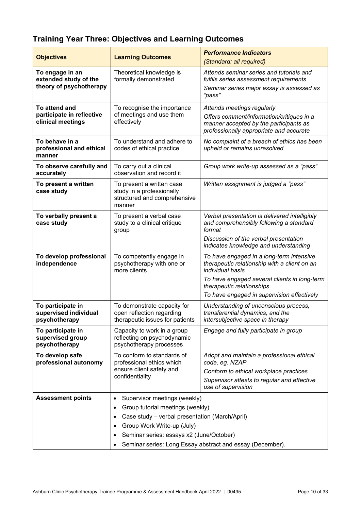# **Training Year Three: Objectives and Learning Outcomes**

| <b>Objectives</b>                                           | <b>Learning Outcomes</b>                                                                         | <b>Performance Indicators</b><br>(Standard: all required)                                                                      |  |
|-------------------------------------------------------------|--------------------------------------------------------------------------------------------------|--------------------------------------------------------------------------------------------------------------------------------|--|
| To engage in an                                             | Theoretical knowledge is                                                                         | Attends seminar series and tutorials and                                                                                       |  |
| extended study of the                                       | formally demonstrated                                                                            | fulfils series assessment requirements                                                                                         |  |
| theory of psychotherapy                                     |                                                                                                  | Seminar series major essay is assessed as<br>"pass"                                                                            |  |
| To attend and                                               | To recognise the importance                                                                      | Attends meetings regularly                                                                                                     |  |
| participate in reflective<br>clinical meetings              | of meetings and use them<br>effectively                                                          | Offers comment/information/critiques in a<br>manner accepted by the participants as<br>professionally appropriate and accurate |  |
| To behave in a<br>professional and ethical<br>manner        | To understand and adhere to<br>codes of ethical practice                                         | No complaint of a breach of ethics has been<br>upheld or remains unresolved                                                    |  |
| To observe carefully and<br>accurately                      | To carry out a clinical<br>observation and record it                                             | Group work write-up assessed as a "pass"                                                                                       |  |
| To present a written<br>case study                          | To present a written case<br>study in a professionally<br>structured and comprehensive<br>manner | Written assignment is judged a "pass"                                                                                          |  |
| To verbally present a<br>case study                         | To present a verbal case<br>study to a clinical critique<br>group                                | Verbal presentation is delivered intelligibly<br>and comprehensibly following a standard<br>format                             |  |
|                                                             |                                                                                                  | Discussion of the verbal presentation<br>indicates knowledge and understanding                                                 |  |
| To develop professional<br>independence                     | To competently engage in<br>psychotherapy with one or<br>more clients                            | To have engaged in a long-term intensive<br>therapeutic relationship with a client on an<br>individual basis                   |  |
|                                                             |                                                                                                  | To have engaged several clients in long-term<br>therapeutic relationships                                                      |  |
|                                                             |                                                                                                  | To have engaged in supervision effectively                                                                                     |  |
| To participate in<br>supervised individual<br>psychotherapy | To demonstrate capacity for<br>open reflection regarding<br>therapeutic issues for patients      | Understanding of unconscious process,<br>transferential dynamics, and the<br>intersubjective space in therapy                  |  |
| To participate in<br>supervised group<br>psychotherapy      | Capacity to work in a group<br>reflecting on psychodynamic<br>psychotherapy processes            | Engage and fully participate in group                                                                                          |  |
| To develop safe<br>professional autonomy                    | To conform to standards of<br>professional ethics which<br>ensure client safety and              | Adopt and maintain a professional ethical<br>code, eg. NZAP                                                                    |  |
|                                                             | confidentiality                                                                                  | Conform to ethical workplace practices<br>Supervisor attests to regular and effective<br>use of supervision                    |  |
| <b>Assessment points</b>                                    | Supervisor meetings (weekly)<br>٠                                                                |                                                                                                                                |  |
|                                                             | Group tutorial meetings (weekly)<br>٠                                                            |                                                                                                                                |  |
|                                                             | Case study - verbal presentation (March/April)                                                   |                                                                                                                                |  |
|                                                             | Group Work Write-up (July)                                                                       |                                                                                                                                |  |
|                                                             | Seminar series: essays x2 (June/October)                                                         |                                                                                                                                |  |
|                                                             | Seminar series: Long Essay abstract and essay (December).                                        |                                                                                                                                |  |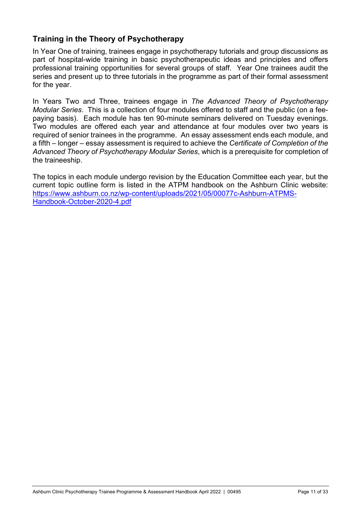# **Training in the Theory of Psychotherapy**

In Year One of training, trainees engage in psychotherapy tutorials and group discussions as part of hospital-wide training in basic psychotherapeutic ideas and principles and offers professional training opportunities for several groups of staff. Year One trainees audit the series and present up to three tutorials in the programme as part of their formal assessment for the year.

In Years Two and Three, trainees engage in *The Advanced Theory of Psychotherapy Modular Series*. This is a collection of four modules offered to staff and the public (on a feepaying basis). Each module has ten 90-minute seminars delivered on Tuesday evenings. Two modules are offered each year and attendance at four modules over two years is required of senior trainees in the programme. An essay assessment ends each module, and a fifth – longer – essay assessment is required to achieve the *Certificate of Completion of the Advanced Theory of Psychotherapy Modular Series*, which is a prerequisite for completion of the traineeship.

The topics in each module undergo revision by the Education Committee each year, but the current topic outline form is listed in the ATPM handbook on the Ashburn Clinic website: https://www.ashburn.co.nz/wp-content/uploads/2021/05/00077c-Ashburn-ATPMS-Handbook-October-2020-4.pdf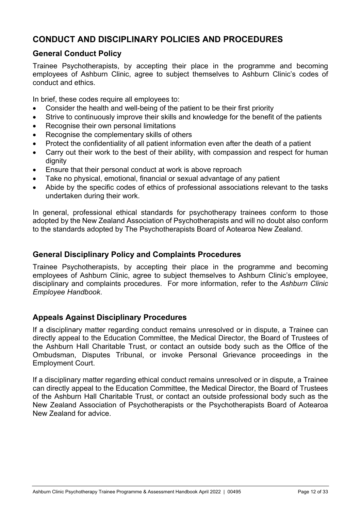# **CONDUCT AND DISCIPLINARY POLICIES AND PROCEDURES**

### **General Conduct Policy**

Trainee Psychotherapists, by accepting their place in the programme and becoming employees of Ashburn Clinic, agree to subject themselves to Ashburn Clinic's codes of conduct and ethics.

In brief, these codes require all employees to:

- Consider the health and well-being of the patient to be their first priority
- Strive to continuously improve their skills and knowledge for the benefit of the patients
- Recognise their own personal limitations
- Recognise the complementary skills of others
- Protect the confidentiality of all patient information even after the death of a patient
- Carry out their work to the best of their ability, with compassion and respect for human dignity
- Ensure that their personal conduct at work is above reproach
- Take no physical, emotional, financial or sexual advantage of any patient
- Abide by the specific codes of ethics of professional associations relevant to the tasks undertaken during their work.

In general, professional ethical standards for psychotherapy trainees conform to those adopted by the New Zealand Association of Psychotherapists and will no doubt also conform to the standards adopted by The Psychotherapists Board of Aotearoa New Zealand.

#### **General Disciplinary Policy and Complaints Procedures**

Trainee Psychotherapists, by accepting their place in the programme and becoming employees of Ashburn Clinic, agree to subject themselves to Ashburn Clinic's employee, disciplinary and complaints procedures. For more information, refer to the *Ashburn Clinic Employee Handbook*.

#### **Appeals Against Disciplinary Procedures**

If a disciplinary matter regarding conduct remains unresolved or in dispute, a Trainee can directly appeal to the Education Committee, the Medical Director, the Board of Trustees of the Ashburn Hall Charitable Trust, or contact an outside body such as the Office of the Ombudsman, Disputes Tribunal, or invoke Personal Grievance proceedings in the Employment Court.

If a disciplinary matter regarding ethical conduct remains unresolved or in dispute, a Trainee can directly appeal to the Education Committee, the Medical Director, the Board of Trustees of the Ashburn Hall Charitable Trust, or contact an outside professional body such as the New Zealand Association of Psychotherapists or the Psychotherapists Board of Aotearoa New Zealand for advice.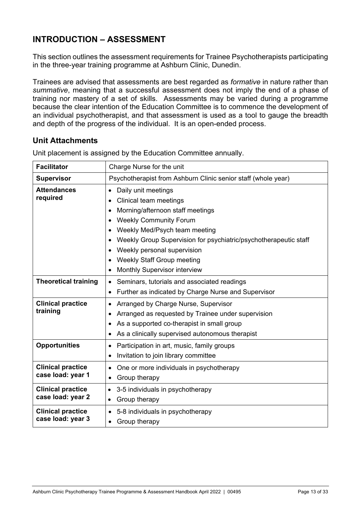# **INTRODUCTION – ASSESSMENT**

This section outlines the assessment requirements for Trainee Psychotherapists participating in the three-year training programme at Ashburn Clinic, Dunedin.

Trainees are advised that assessments are best regarded as *formative* in nature rather than *summative*, meaning that a successful assessment does not imply the end of a phase of training nor mastery of a set of skills. Assessments may be varied during a programme because the clear intention of the Education Committee is to commence the development of an individual psychotherapist, and that assessment is used as a tool to gauge the breadth and depth of the progress of the individual. It is an open-ended process.

### **Unit Attachments**

| <b>Facilitator</b>                            | Charge Nurse for the unit                                                                                                                                                                                                                                                                                                                                                                        |  |  |
|-----------------------------------------------|--------------------------------------------------------------------------------------------------------------------------------------------------------------------------------------------------------------------------------------------------------------------------------------------------------------------------------------------------------------------------------------------------|--|--|
| <b>Supervisor</b>                             | Psychotherapist from Ashburn Clinic senior staff (whole year)                                                                                                                                                                                                                                                                                                                                    |  |  |
| <b>Attendances</b><br>required                | Daily unit meetings<br>$\bullet$<br><b>Clinical team meetings</b><br>Morning/afternoon staff meetings<br>$\bullet$<br><b>Weekly Community Forum</b><br>$\bullet$<br>Weekly Med/Psych team meeting<br>٠<br>Weekly Group Supervision for psychiatric/psychotherapeutic staff<br>٠<br>Weekly personal supervision<br><b>Weekly Staff Group meeting</b><br>Monthly Supervisor interview<br>$\bullet$ |  |  |
| <b>Theoretical training</b>                   | Seminars, tutorials and associated readings<br>Further as indicated by Charge Nurse and Supervisor<br>$\bullet$                                                                                                                                                                                                                                                                                  |  |  |
| <b>Clinical practice</b><br>training          | Arranged by Charge Nurse, Supervisor<br>$\bullet$<br>Arranged as requested by Trainee under supervision<br>$\bullet$<br>As a supported co-therapist in small group<br>$\bullet$<br>As a clinically supervised autonomous therapist<br>$\bullet$                                                                                                                                                  |  |  |
| <b>Opportunities</b>                          | Participation in art, music, family groups<br>٠<br>Invitation to join library committee<br>$\bullet$                                                                                                                                                                                                                                                                                             |  |  |
| <b>Clinical practice</b><br>case load: year 1 | One or more individuals in psychotherapy<br>$\bullet$<br>Group therapy<br>$\bullet$                                                                                                                                                                                                                                                                                                              |  |  |
| <b>Clinical practice</b><br>case load: year 2 | 3-5 individuals in psychotherapy<br>٠<br>Group therapy<br>$\bullet$                                                                                                                                                                                                                                                                                                                              |  |  |
| <b>Clinical practice</b><br>case load: year 3 | 5-8 individuals in psychotherapy<br>$\bullet$<br>Group therapy                                                                                                                                                                                                                                                                                                                                   |  |  |

Unit placement is assigned by the Education Committee annually.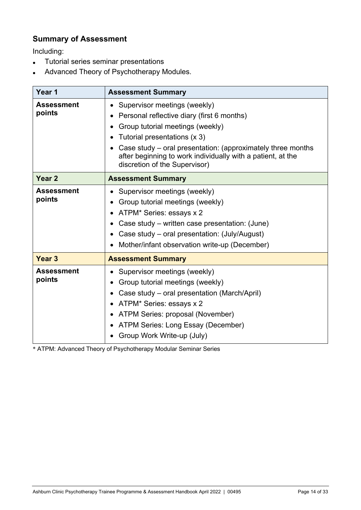# **Summary of Assessment**

Including:

- Tutorial series seminar presentations
- Advanced Theory of Psychotherapy Modules.

| Year 1                      | <b>Assessment Summary</b>                                                                                                                                                                                                                                                                                     |
|-----------------------------|---------------------------------------------------------------------------------------------------------------------------------------------------------------------------------------------------------------------------------------------------------------------------------------------------------------|
| <b>Assessment</b><br>points | Supervisor meetings (weekly)<br>Personal reflective diary (first 6 months)<br>Group tutorial meetings (weekly)<br>Tutorial presentations (x 3)<br>Case study – oral presentation: (approximately three months<br>after beginning to work individually with a patient, at the<br>discretion of the Supervisor) |
| Year <sub>2</sub>           | <b>Assessment Summary</b>                                                                                                                                                                                                                                                                                     |
| <b>Assessment</b><br>points | Supervisor meetings (weekly)<br>Group tutorial meetings (weekly)<br>ATPM* Series: essays x 2<br>Case study – written case presentation: (June)<br>Case study – oral presentation: (July/August)<br>Mother/infant observation write-up (December)                                                              |
| Year <sub>3</sub>           | <b>Assessment Summary</b>                                                                                                                                                                                                                                                                                     |
| <b>Assessment</b><br>points | Supervisor meetings (weekly)<br>Group tutorial meetings (weekly)<br>Case study – oral presentation (March/April)<br>ATPM* Series: essays x 2<br>ATPM Series: proposal (November)<br>$\bullet$<br>ATPM Series: Long Essay (December)<br>Group Work Write-up (July)                                             |

\* ATPM: Advanced Theory of Psychotherapy Modular Seminar Series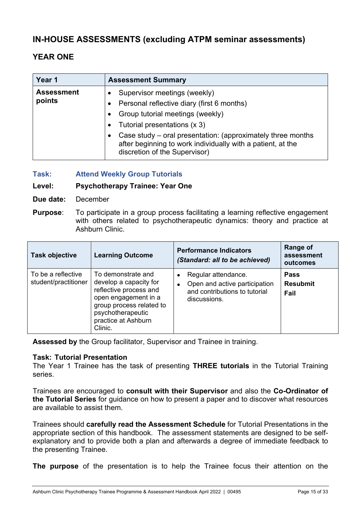# **IN-HOUSE ASSESSMENTS (excluding ATPM seminar assessments)**

# **YEAR ONE**

| Year 1                      | <b>Assessment Summary</b>                                                                                                                                  |
|-----------------------------|------------------------------------------------------------------------------------------------------------------------------------------------------------|
| <b>Assessment</b><br>points | Supervisor meetings (weekly)<br>Personal reflective diary (first 6 months)                                                                                 |
|                             | Group tutorial meetings (weekly)                                                                                                                           |
|                             | Tutorial presentations (x 3)<br>Case study – oral presentation: (approximately three months<br>after beginning to work individually with a patient, at the |
|                             | discretion of the Supervisor)                                                                                                                              |

**Task: Attend Weekly Group Tutorials** 

#### **Level: Psychotherapy Trainee: Year One**

- **Due date:** December
- **Purpose**: To participate in a group process facilitating a learning reflective engagement with others related to psychotherapeutic dynamics: theory and practice at Ashburn Clinic.

| <b>Task objective</b>                      | <b>Learning Outcome</b>                                                                                                                                                           | <b>Performance Indicators</b><br>(Standard: all to be achieved)                                       | Range of<br>assessment<br>outcomes     |
|--------------------------------------------|-----------------------------------------------------------------------------------------------------------------------------------------------------------------------------------|-------------------------------------------------------------------------------------------------------|----------------------------------------|
| To be a reflective<br>student/practitioner | To demonstrate and<br>develop a capacity for<br>reflective process and<br>open engagement in a<br>group process related to<br>psychotherapeutic<br>practice at Ashburn<br>Clinic. | Regular attendance.<br>Open and active participation<br>and contributions to tutorial<br>discussions. | <b>Pass</b><br><b>Resubmit</b><br>Fail |

**Assessed by** the Group facilitator, Supervisor and Trainee in training.

#### **Task: Tutorial Presentation**

The Year 1 Trainee has the task of presenting **THREE tutorials** in the Tutorial Training series.

Trainees are encouraged to **consult with their Supervisor** and also the **Co-Ordinator of the Tutorial Series** for guidance on how to present a paper and to discover what resources are available to assist them.

Trainees should **carefully read the Assessment Schedule** for Tutorial Presentations in the appropriate section of this handbook. The assessment statements are designed to be selfexplanatory and to provide both a plan and afterwards a degree of immediate feedback to the presenting Trainee.

**The purpose** of the presentation is to help the Trainee focus their attention on the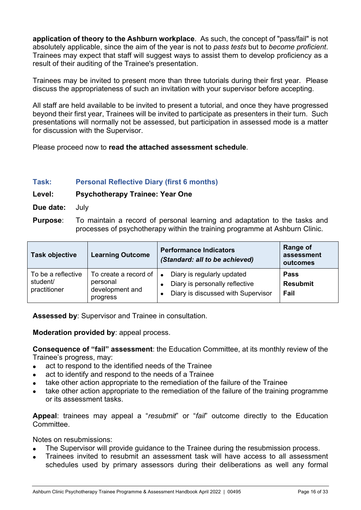**application of theory to the Ashburn workplace**. As such, the concept of "pass/fail" is not absolutely applicable, since the aim of the year is not to *pass tests* but to *become proficient*. Trainees may expect that staff will suggest ways to assist them to develop proficiency as a result of their auditing of the Trainee's presentation.

Trainees may be invited to present more than three tutorials during their first year. Please discuss the appropriateness of such an invitation with your supervisor before accepting.

All staff are held available to be invited to present a tutorial, and once they have progressed beyond their first year, Trainees will be invited to participate as presenters in their turn. Such presentations will normally not be assessed, but participation in assessed mode is a matter for discussion with the Supervisor.

Please proceed now to **read the attached assessment schedule**.

#### **Task: Personal Reflective Diary (first 6 months)**

#### **Level: Psychotherapy Trainee: Year One**

- **Due date:** July
- **Purpose**: To maintain a record of personal learning and adaptation to the tasks and processes of psychotherapy within the training programme at Ashburn Clinic.

| <b>Task objective</b>                          | <b>Learning Outcome</b>                                          | <b>Performance Indicators</b><br>(Standard: all to be achieved)                                    | Range of<br>assessment<br>outcomes     |
|------------------------------------------------|------------------------------------------------------------------|----------------------------------------------------------------------------------------------------|----------------------------------------|
| To be a reflective<br>student/<br>practitioner | To create a record of<br>personal<br>development and<br>progress | Diary is regularly updated<br>Diary is personally reflective<br>Diary is discussed with Supervisor | <b>Pass</b><br><b>Resubmit</b><br>Fail |

**Assessed by**: Supervisor and Trainee in consultation.

#### **Moderation provided by**: appeal process.

**Consequence of "fail" assessment**: the Education Committee, at its monthly review of the Trainee's progress, may:

- act to respond to the identified needs of the Trainee
- act to identify and respond to the needs of a Trainee
- take other action appropriate to the remediation of the failure of the Trainee
- take other action appropriate to the remediation of the failure of the training programme or its assessment tasks.

**Appeal**: trainees may appeal a "*resubmit*" or "*fail*" outcome directly to the Education Committee.

Notes on resubmissions:

- The Supervisor will provide guidance to the Trainee during the resubmission process.
- Trainees invited to resubmit an assessment task will have access to all assessment schedules used by primary assessors during their deliberations as well any formal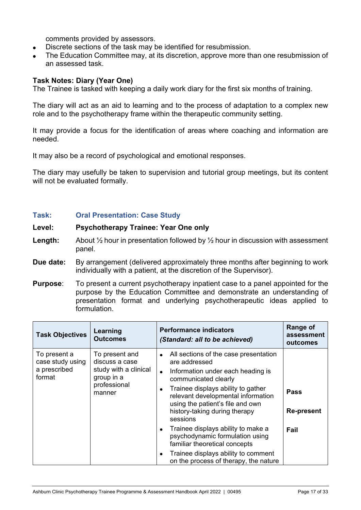comments provided by assessors.

- Discrete sections of the task may be identified for resubmission.
- The Education Committee may, at its discretion, approve more than one resubmission of an assessed task.

#### **Task Notes: Diary (Year One)**

The Trainee is tasked with keeping a daily work diary for the first six months of training.

The diary will act as an aid to learning and to the process of adaptation to a complex new role and to the psychotherapy frame within the therapeutic community setting.

It may provide a focus for the identification of areas where coaching and information are needed.

It may also be a record of psychological and emotional responses.

The diary may usefully be taken to supervision and tutorial group meetings, but its content will not be evaluated formally.

#### **Task: Oral Presentation: Case Study**

#### **Level: Psychotherapy Trainee: Year One only**

- **Length:** About 1/2 hour in presentation followed by 1/2 hour in discussion with assessment panel.
- **Due date:** By arrangement (delivered approximately three months after beginning to work individually with a patient, at the discretion of the Supervisor).
- **Purpose**: To present a current psychotherapy inpatient case to a panel appointed for the purpose by the Education Committee and demonstrate an understanding of presentation format and underlying psychotherapeutic ideas applied to formulation.

| <b>Task Objectives</b>                                     | Learning<br><b>Outcomes</b>                                                                       | <b>Performance indicators</b><br>(Standard: all to be achieved)                                                                                                                                | Range of<br>assessment<br>outcomes |
|------------------------------------------------------------|---------------------------------------------------------------------------------------------------|------------------------------------------------------------------------------------------------------------------------------------------------------------------------------------------------|------------------------------------|
| To present a<br>case study using<br>a prescribed<br>format | To present and<br>discuss a case<br>study with a clinical<br>group in a<br>professional<br>manner | All sections of the case presentation<br>$\bullet$<br>are addressed<br>Information under each heading is<br>$\bullet$                                                                          |                                    |
|                                                            |                                                                                                   | communicated clearly<br>Trainee displays ability to gather<br>$\bullet$<br>relevant developmental information<br>using the patient's file and own<br>history-taking during therapy<br>sessions | <b>Pass</b><br><b>Re-present</b>   |
|                                                            |                                                                                                   | Trainee displays ability to make a<br>$\bullet$<br>psychodynamic formulation using<br>familiar theoretical concepts                                                                            | Fail                               |
|                                                            |                                                                                                   | Trainee displays ability to comment<br>$\bullet$<br>on the process of therapy, the nature                                                                                                      |                                    |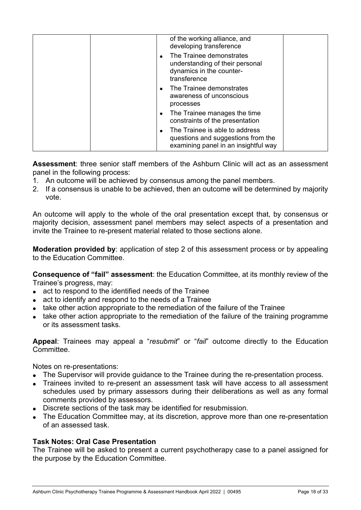|  | of the working alliance, and<br>developing transference<br>The Trainee demonstrates<br>understanding of their personal<br>dynamics in the counter-<br>transference |  |
|--|--------------------------------------------------------------------------------------------------------------------------------------------------------------------|--|
|  | The Trainee demonstrates<br>awareness of unconscious<br>processes                                                                                                  |  |
|  | The Trainee manages the time<br>constraints of the presentation                                                                                                    |  |
|  | The Trainee is able to address<br>questions and suggestions from the<br>examining panel in an insightful way                                                       |  |

**Assessment**: three senior staff members of the Ashburn Clinic will act as an assessment panel in the following process:

- 1. An outcome will be achieved by consensus among the panel members.
- 2. If a consensus is unable to be achieved, then an outcome will be determined by majority vote.

An outcome will apply to the whole of the oral presentation except that, by consensus or majority decision, assessment panel members may select aspects of a presentation and invite the Trainee to re-present material related to those sections alone.

**Moderation provided by**: application of step 2 of this assessment process or by appealing to the Education Committee.

**Consequence of "fail" assessment**: the Education Committee, at its monthly review of the Trainee's progress, may:

- act to respond to the identified needs of the Trainee
- act to identify and respond to the needs of a Trainee
- take other action appropriate to the remediation of the failure of the Trainee
- take other action appropriate to the remediation of the failure of the training programme or its assessment tasks.

**Appeal**: Trainees may appeal a "*resubmit*" or "*fail*" outcome directly to the Education Committee.

Notes on re-presentations:

- The Supervisor will provide guidance to the Trainee during the re-presentation process.
- Trainees invited to re-present an assessment task will have access to all assessment schedules used by primary assessors during their deliberations as well as any formal comments provided by assessors.
- Discrete sections of the task may be identified for resubmission.
- The Education Committee may, at its discretion, approve more than one re-presentation of an assessed task.

#### **Task Notes: Oral Case Presentation**

The Trainee will be asked to present a current psychotherapy case to a panel assigned for the purpose by the Education Committee.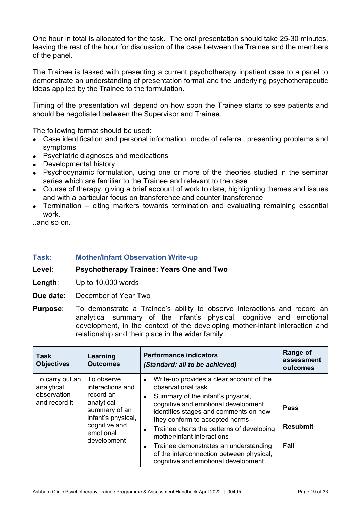One hour in total is allocated for the task. The oral presentation should take 25-30 minutes, leaving the rest of the hour for discussion of the case between the Trainee and the members of the panel.

The Trainee is tasked with presenting a current psychotherapy inpatient case to a panel to demonstrate an understanding of presentation format and the underlying psychotherapeutic ideas applied by the Trainee to the formulation.

Timing of the presentation will depend on how soon the Trainee starts to see patients and should be negotiated between the Supervisor and Trainee.

The following format should be used:

- Case identification and personal information, mode of referral, presenting problems and symptoms
- Psychiatric diagnoses and medications
- Developmental history
- Psychodynamic formulation, using one or more of the theories studied in the seminar series which are familiar to the Trainee and relevant to the case
- Course of therapy, giving a brief account of work to date, highlighting themes and issues and with a particular focus on transference and counter transference
- Termination citing markers towards termination and evaluating remaining essential work.

..and so on.

**Task: Mother/Infant Observation Write-up** 

**Level**: **Psychotherapy Trainee: Years One and Two** 

- **Length**: Up to 10,000 words
- **Due date:** December of Year Two
- **Purpose**: To demonstrate a Trainee's ability to observe interactions and record an analytical summary of the infant's physical, cognitive and emotional development, in the context of the developing mother-infant interaction and relationship and their place in the wider family.

| <b>Task</b><br><b>Objectives</b>                              | Learning<br><b>Outcomes</b>                                                                                                                   | <b>Performance indicators</b><br>(Standard: all to be achieved)                                                                                                                                                                                                                                                                                                                                                                                                                  | Range of<br>assessment<br>outcomes     |
|---------------------------------------------------------------|-----------------------------------------------------------------------------------------------------------------------------------------------|----------------------------------------------------------------------------------------------------------------------------------------------------------------------------------------------------------------------------------------------------------------------------------------------------------------------------------------------------------------------------------------------------------------------------------------------------------------------------------|----------------------------------------|
| To carry out an<br>analytical<br>observation<br>and record it | To observe<br>interactions and<br>record an<br>analytical<br>summary of an<br>infant's physical,<br>cognitive and<br>emotional<br>development | Write-up provides a clear account of the<br>$\bullet$<br>observational task<br>Summary of the infant's physical,<br>$\bullet$<br>cognitive and emotional development<br>identifies stages and comments on how<br>they conform to accepted norms<br>Trainee charts the patterns of developing<br>$\bullet$<br>mother/infant interactions<br>Trainee demonstrates an understanding<br>$\bullet$<br>of the interconnection between physical,<br>cognitive and emotional development | <b>Pass</b><br><b>Resubmit</b><br>Fail |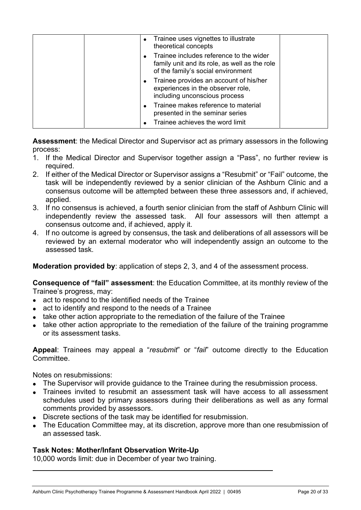| • Trainee uses vignettes to illustrate<br>theoretical concepts                                                                 |  |
|--------------------------------------------------------------------------------------------------------------------------------|--|
| Trainee includes reference to the wider<br>family unit and its role, as well as the role<br>of the family's social environment |  |
| Trainee provides an account of his/her<br>experiences in the observer role,<br>including unconscious process                   |  |
| Trainee makes reference to material<br>presented in the seminar series                                                         |  |
| Trainee achieves the word limit                                                                                                |  |

**Assessment**: the Medical Director and Supervisor act as primary assessors in the following process:

- 1. If the Medical Director and Supervisor together assign a "Pass", no further review is required.
- 2. If either of the Medical Director or Supervisor assigns a "Resubmit" or "Fail" outcome, the task will be independently reviewed by a senior clinician of the Ashburn Clinic and a consensus outcome will be attempted between these three assessors and, if achieved, applied.
- 3. If no consensus is achieved, a fourth senior clinician from the staff of Ashburn Clinic will independently review the assessed task. All four assessors will then attempt a consensus outcome and, if achieved, apply it.
- 4. If no outcome is agreed by consensus, the task and deliberations of all assessors will be reviewed by an external moderator who will independently assign an outcome to the assessed task.

**Moderation provided by**: application of steps 2, 3, and 4 of the assessment process.

**Consequence of "fail" assessment**: the Education Committee, at its monthly review of the Trainee's progress, may:

- act to respond to the identified needs of the Trainee
- act to identify and respond to the needs of a Trainee
- take other action appropriate to the remediation of the failure of the Trainee
- take other action appropriate to the remediation of the failure of the training programme or its assessment tasks.

**Appeal**: Trainees may appeal a "*resubmit*" or "*fail*" outcome directly to the Education **Committee.** 

Notes on resubmissions:

- The Supervisor will provide guidance to the Trainee during the resubmission process.
- Trainees invited to resubmit an assessment task will have access to all assessment schedules used by primary assessors during their deliberations as well as any formal comments provided by assessors.
- Discrete sections of the task may be identified for resubmission.
- The Education Committee may, at its discretion, approve more than one resubmission of an assessed task.

#### **Task Notes: Mother/Infant Observation Write-Up**

10,000 words limit: due in December of year two training.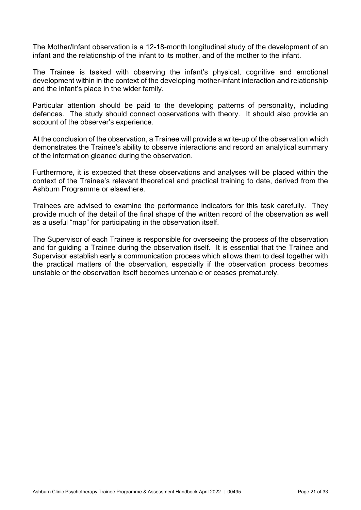The Mother/Infant observation is a 12-18-month longitudinal study of the development of an infant and the relationship of the infant to its mother, and of the mother to the infant.

The Trainee is tasked with observing the infant's physical, cognitive and emotional development within in the context of the developing mother-infant interaction and relationship and the infant's place in the wider family.

Particular attention should be paid to the developing patterns of personality, including defences. The study should connect observations with theory. It should also provide an account of the observer's experience.

At the conclusion of the observation, a Trainee will provide a write-up of the observation which demonstrates the Trainee's ability to observe interactions and record an analytical summary of the information gleaned during the observation.

Furthermore, it is expected that these observations and analyses will be placed within the context of the Trainee's relevant theoretical and practical training to date, derived from the Ashburn Programme or elsewhere.

Trainees are advised to examine the performance indicators for this task carefully. They provide much of the detail of the final shape of the written record of the observation as well as a useful "map" for participating in the observation itself.

The Supervisor of each Trainee is responsible for overseeing the process of the observation and for guiding a Trainee during the observation itself. It is essential that the Trainee and Supervisor establish early a communication process which allows them to deal together with the practical matters of the observation, especially if the observation process becomes unstable or the observation itself becomes untenable or ceases prematurely.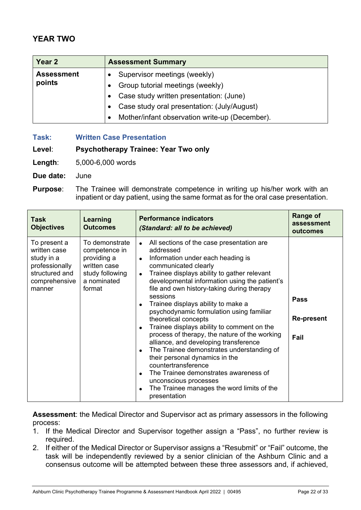# **YEAR TWO**

| Year 2            | <b>Assessment Summary</b>                      |  |  |
|-------------------|------------------------------------------------|--|--|
| <b>Assessment</b> | Supervisor meetings (weekly)                   |  |  |
| points            | Group tutorial meetings (weekly)               |  |  |
|                   | Case study written presentation: (June)        |  |  |
|                   | Case study oral presentation: (July/August)    |  |  |
|                   | Mother/infant observation write-up (December). |  |  |

**Task: Written Case Presentation** 

#### **Level**: **Psychotherapy Trainee: Year Two only**

**Length**: 5,000-6,000 words

**Due date:** June

**Purpose:** The Trainee will demonstrate competence in writing up his/her work with an inpatient or day patient, using the same format as for the oral case presentation.

| <b>Task</b><br><b>Objectives</b>                                                                          | Learning<br><b>Outcomes</b>                                                                                | <b>Performance indicators</b><br>(Standard: all to be achieved)                                                                                                                                                                                                                                                                                                                                                                                                                                                                                                                                                                                                                                                                                                                                              | <b>Range of</b><br>assessment<br>outcomes |
|-----------------------------------------------------------------------------------------------------------|------------------------------------------------------------------------------------------------------------|--------------------------------------------------------------------------------------------------------------------------------------------------------------------------------------------------------------------------------------------------------------------------------------------------------------------------------------------------------------------------------------------------------------------------------------------------------------------------------------------------------------------------------------------------------------------------------------------------------------------------------------------------------------------------------------------------------------------------------------------------------------------------------------------------------------|-------------------------------------------|
| To present a<br>written case<br>study in a<br>professionally<br>structured and<br>comprehensive<br>manner | To demonstrate<br>competence in<br>providing a<br>written case<br>study following<br>a nominated<br>format | All sections of the case presentation are<br>$\bullet$<br>addressed<br>Information under each heading is<br>$\bullet$<br>communicated clearly<br>Trainee displays ability to gather relevant<br>$\bullet$<br>developmental information using the patient's<br>file and own history-taking during therapy<br>sessions<br>Trainee displays ability to make a<br>psychodynamic formulation using familiar<br>theoretical concepts<br>Trainee displays ability to comment on the<br>process of therapy, the nature of the working<br>alliance, and developing transference<br>The Trainee demonstrates understanding of<br>their personal dynamics in the<br>countertransference<br>The Trainee demonstrates awareness of<br>unconscious processes<br>The Trainee manages the word limits of the<br>presentation | <b>Pass</b><br><b>Re-present</b><br>Fail  |

**Assessment**: the Medical Director and Supervisor act as primary assessors in the following process:

- 1. If the Medical Director and Supervisor together assign a "Pass", no further review is required.
- 2. If either of the Medical Director or Supervisor assigns a "Resubmit" or "Fail" outcome, the task will be independently reviewed by a senior clinician of the Ashburn Clinic and a consensus outcome will be attempted between these three assessors and, if achieved,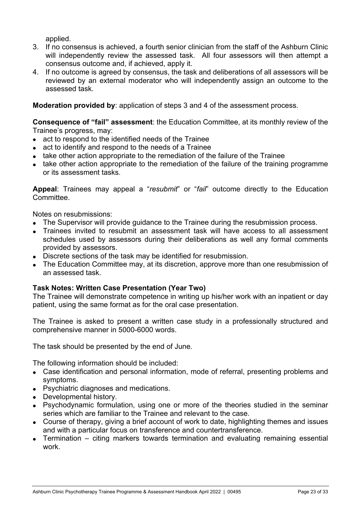applied.

- 3. If no consensus is achieved, a fourth senior clinician from the staff of the Ashburn Clinic will independently review the assessed task. All four assessors will then attempt a consensus outcome and, if achieved, apply it.
- 4. If no outcome is agreed by consensus, the task and deliberations of all assessors will be reviewed by an external moderator who will independently assign an outcome to the assessed task.

#### **Moderation provided by**: application of steps 3 and 4 of the assessment process.

**Consequence of "fail" assessment**: the Education Committee, at its monthly review of the Trainee's progress, may:

- act to respond to the identified needs of the Trainee
- act to identify and respond to the needs of a Trainee
- take other action appropriate to the remediation of the failure of the Trainee
- take other action appropriate to the remediation of the failure of the training programme or its assessment tasks.

**Appeal**: Trainees may appeal a "*resubmit*" or "*fail*" outcome directly to the Education Committee.

Notes on resubmissions:

- The Supervisor will provide guidance to the Trainee during the resubmission process.
- Trainees invited to resubmit an assessment task will have access to all assessment schedules used by assessors during their deliberations as well any formal comments provided by assessors.
- Discrete sections of the task may be identified for resubmission.
- The Education Committee may, at its discretion, approve more than one resubmission of an assessed task.

#### **Task Notes: Written Case Presentation (Year Two)**

The Trainee will demonstrate competence in writing up his/her work with an inpatient or day patient, using the same format as for the oral case presentation.

The Trainee is asked to present a written case study in a professionally structured and comprehensive manner in 5000-6000 words.

The task should be presented by the end of June.

The following information should be included:

- Case identification and personal information, mode of referral, presenting problems and symptoms.
- Psychiatric diagnoses and medications.
- Developmental history.
- Psychodynamic formulation, using one or more of the theories studied in the seminar series which are familiar to the Trainee and relevant to the case.
- Course of therapy, giving a brief account of work to date, highlighting themes and issues and with a particular focus on transference and countertransference.
- Termination citing markers towards termination and evaluating remaining essential work.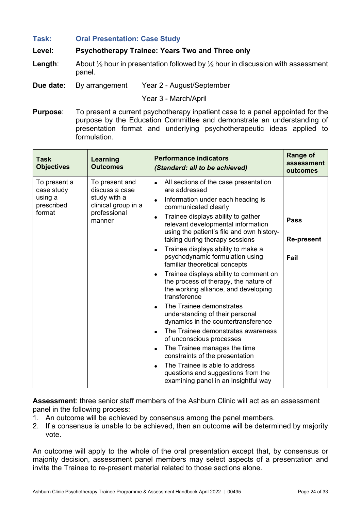#### **Task: Oral Presentation: Case Study**

#### **Level: Psychotherapy Trainee: Years Two and Three only**

- **Length:** About  $\frac{1}{2}$  hour in presentation followed by  $\frac{1}{2}$  hour in discussion with assessment panel.
- **Due date:** By arrangement Year 2 August/September

Year 3 - March/April

**Purpose**: To present a current psychotherapy inpatient case to a panel appointed for the purpose by the Education Committee and demonstrate an understanding of presentation format and underlying psychotherapeutic ideas applied to formulation.

| <b>Task</b><br><b>Objectives</b>                              | Learning<br><b>Outcomes</b>                                                                       | <b>Performance indicators</b><br>(Standard: all to be achieved)                                                                                                                                                                                                                                                                                                                                                                                                                                                                                                                                                                                                                                                                                                                                                                                                                                             | <b>Range of</b><br>assessment<br>outcomes |
|---------------------------------------------------------------|---------------------------------------------------------------------------------------------------|-------------------------------------------------------------------------------------------------------------------------------------------------------------------------------------------------------------------------------------------------------------------------------------------------------------------------------------------------------------------------------------------------------------------------------------------------------------------------------------------------------------------------------------------------------------------------------------------------------------------------------------------------------------------------------------------------------------------------------------------------------------------------------------------------------------------------------------------------------------------------------------------------------------|-------------------------------------------|
| To present a<br>case study<br>using a<br>prescribed<br>format | To present and<br>discuss a case<br>study with a<br>clinical group in a<br>professional<br>manner | All sections of the case presentation<br>are addressed<br>Information under each heading is<br>communicated clearly<br>Trainee displays ability to gather<br>relevant developmental information<br>using the patient's file and own history-<br>taking during therapy sessions<br>Trainee displays ability to make a<br>psychodynamic formulation using<br>familiar theoretical concepts<br>Trainee displays ability to comment on<br>the process of therapy, the nature of<br>the working alliance, and developing<br>transference<br>The Trainee demonstrates<br>understanding of their personal<br>dynamics in the countertransference<br>The Trainee demonstrates awareness<br>of unconscious processes<br>The Trainee manages the time<br>$\bullet$<br>constraints of the presentation<br>The Trainee is able to address<br>questions and suggestions from the<br>examining panel in an insightful way | <b>Pass</b><br><b>Re-present</b><br>Fail  |

**Assessment**: three senior staff members of the Ashburn Clinic will act as an assessment panel in the following process:

- 1. An outcome will be achieved by consensus among the panel members.
- 2. If a consensus is unable to be achieved, then an outcome will be determined by majority vote.

An outcome will apply to the whole of the oral presentation except that, by consensus or majority decision, assessment panel members may select aspects of a presentation and invite the Trainee to re-present material related to those sections alone.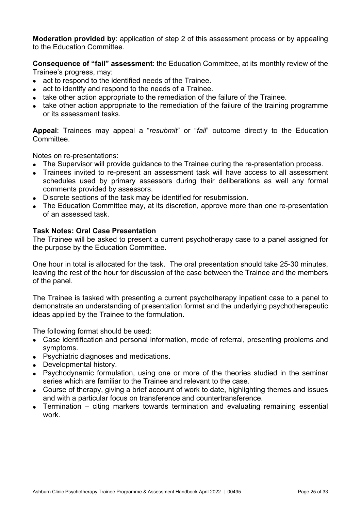**Moderation provided by**: application of step 2 of this assessment process or by appealing to the Education Committee.

**Consequence of "fail" assessment**: the Education Committee, at its monthly review of the Trainee's progress, may:

- act to respond to the identified needs of the Trainee.
- act to identify and respond to the needs of a Trainee.
- take other action appropriate to the remediation of the failure of the Trainee.
- take other action appropriate to the remediation of the failure of the training programme or its assessment tasks.

**Appeal**: Trainees may appeal a "*resubmit*" or "*fail*" outcome directly to the Education Committee.

Notes on re-presentations:

- The Supervisor will provide guidance to the Trainee during the re-presentation process.
- Trainees invited to re-present an assessment task will have access to all assessment schedules used by primary assessors during their deliberations as well any formal comments provided by assessors.
- Discrete sections of the task may be identified for resubmission.
- The Education Committee may, at its discretion, approve more than one re-presentation of an assessed task.

#### **Task Notes: Oral Case Presentation**

The Trainee will be asked to present a current psychotherapy case to a panel assigned for the purpose by the Education Committee.

One hour in total is allocated for the task. The oral presentation should take 25-30 minutes, leaving the rest of the hour for discussion of the case between the Trainee and the members of the panel.

The Trainee is tasked with presenting a current psychotherapy inpatient case to a panel to demonstrate an understanding of presentation format and the underlying psychotherapeutic ideas applied by the Trainee to the formulation.

The following format should be used:

- Case identification and personal information, mode of referral, presenting problems and symptoms.
- Psychiatric diagnoses and medications.
- Developmental history.
- Psychodynamic formulation, using one or more of the theories studied in the seminar series which are familiar to the Trainee and relevant to the case.
- Course of therapy, giving a brief account of work to date, highlighting themes and issues and with a particular focus on transference and countertransference.
- Termination citing markers towards termination and evaluating remaining essential work.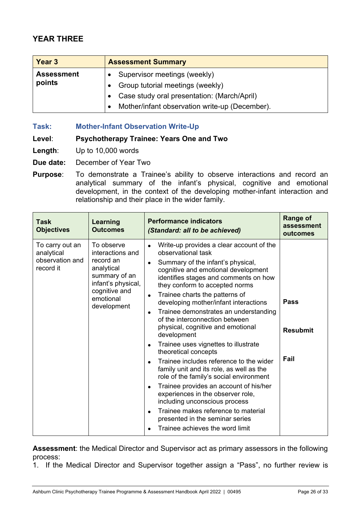# **YEAR THREE**

| Year 3                      | <b>Assessment Summary</b>                      |  |  |
|-----------------------------|------------------------------------------------|--|--|
| <b>Assessment</b><br>points | Supervisor meetings (weekly)                   |  |  |
|                             | Group tutorial meetings (weekly)               |  |  |
|                             | Case study oral presentation: (March/April)    |  |  |
|                             | Mother/infant observation write-up (December). |  |  |

**Task: Mother-Infant Observation Write-Up** 

#### **Level**: **Psychotherapy Trainee: Years One and Two**

- **Length**: Up to 10,000 words
- **Due date:** December of Year Two
- **Purpose**: To demonstrate a Trainee's ability to observe interactions and record an analytical summary of the infant's physical, cognitive and emotional development, in the context of the developing mother-infant interaction and relationship and their place in the wider family.

| <b>Task</b><br><b>Objectives</b>                              | <b>Learning</b><br><b>Outcomes</b>                                                                                                            | <b>Performance indicators</b><br>(Standard: all to be achieved)                                                                                                                                                                                                                                                                                                                                                                                                                                                                                                                                                                                                                                                                                                                                                                                                                                                                                                        | <b>Range of</b><br>assessment<br>outcomes |
|---------------------------------------------------------------|-----------------------------------------------------------------------------------------------------------------------------------------------|------------------------------------------------------------------------------------------------------------------------------------------------------------------------------------------------------------------------------------------------------------------------------------------------------------------------------------------------------------------------------------------------------------------------------------------------------------------------------------------------------------------------------------------------------------------------------------------------------------------------------------------------------------------------------------------------------------------------------------------------------------------------------------------------------------------------------------------------------------------------------------------------------------------------------------------------------------------------|-------------------------------------------|
| To carry out an<br>analytical<br>observation and<br>record it | To observe<br>interactions and<br>record an<br>analytical<br>summary of an<br>infant's physical,<br>cognitive and<br>emotional<br>development | Write-up provides a clear account of the<br>$\bullet$<br>observational task<br>Summary of the infant's physical,<br>$\bullet$<br>cognitive and emotional development<br>identifies stages and comments on how<br>they conform to accepted norms<br>Trainee charts the patterns of<br>$\bullet$<br>developing mother/infant interactions<br>Trainee demonstrates an understanding<br>$\bullet$<br>of the interconnection between<br>physical, cognitive and emotional<br>development<br>Trainee uses vignettes to illustrate<br>$\bullet$<br>theoretical concepts<br>Trainee includes reference to the wider<br>$\bullet$<br>family unit and its role, as well as the<br>role of the family's social environment<br>Trainee provides an account of his/her<br>$\bullet$<br>experiences in the observer role,<br>including unconscious process<br>Trainee makes reference to material<br>$\bullet$<br>presented in the seminar series<br>Trainee achieves the word limit | <b>Pass</b><br><b>Resubmit</b><br>Fail    |

**Assessment**: the Medical Director and Supervisor act as primary assessors in the following process:

1. If the Medical Director and Supervisor together assign a "Pass", no further review is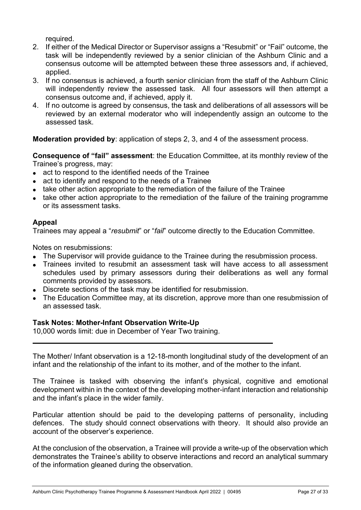required.

- 2. If either of the Medical Director or Supervisor assigns a "Resubmit" or "Fail" outcome, the task will be independently reviewed by a senior clinician of the Ashburn Clinic and a consensus outcome will be attempted between these three assessors and, if achieved, applied.
- 3. If no consensus is achieved, a fourth senior clinician from the staff of the Ashburn Clinic will independently review the assessed task. All four assessors will then attempt a consensus outcome and, if achieved, apply it.
- 4. If no outcome is agreed by consensus, the task and deliberations of all assessors will be reviewed by an external moderator who will independently assign an outcome to the assessed task.

**Moderation provided by**: application of steps 2, 3, and 4 of the assessment process.

**Consequence of "fail" assessment**: the Education Committee, at its monthly review of the Trainee's progress, may:

- act to respond to the identified needs of the Trainee
- act to identify and respond to the needs of a Trainee
- take other action appropriate to the remediation of the failure of the Trainee
- take other action appropriate to the remediation of the failure of the training programme or its assessment tasks.

#### **Appeal**

Trainees may appeal a "*resubmit*" or "*fail*" outcome directly to the Education Committee.

Notes on resubmissions:

- The Supervisor will provide guidance to the Trainee during the resubmission process.
- Trainees invited to resubmit an assessment task will have access to all assessment schedules used by primary assessors during their deliberations as well any formal comments provided by assessors.
- Discrete sections of the task may be identified for resubmission.
- The Education Committee may, at its discretion, approve more than one resubmission of an assessed task.

#### **Task Notes: Mother-Infant Observation Write-Up**

10,000 words limit: due in December of Year Two training.

The Mother/ Infant observation is a 12-18-month longitudinal study of the development of an infant and the relationship of the infant to its mother, and of the mother to the infant.

The Trainee is tasked with observing the infant's physical, cognitive and emotional development within in the context of the developing mother-infant interaction and relationship and the infant's place in the wider family.

Particular attention should be paid to the developing patterns of personality, including defences. The study should connect observations with theory. It should also provide an account of the observer's experience.

At the conclusion of the observation, a Trainee will provide a write-up of the observation which demonstrates the Trainee's ability to observe interactions and record an analytical summary of the information gleaned during the observation.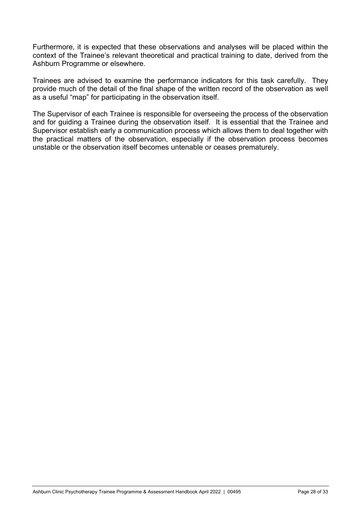Furthermore, it is expected that these observations and analyses will be placed within the context of the Trainee's relevant theoretical and practical training to date, derived from the Ashburn Programme or elsewhere.

Trainees are advised to examine the performance indicators for this task carefully. They provide much of the detail of the final shape of the written record of the observation as well as a useful "map" for participating in the observation itself.

The Supervisor of each Trainee is responsible for overseeing the process of the observation and for guiding a Trainee during the observation itself. It is essential that the Trainee and Supervisor establish early a communication process which allows them to deal together with the practical matters of the observation, especially if the observation process becomes unstable or the observation itself becomes untenable or ceases prematurely.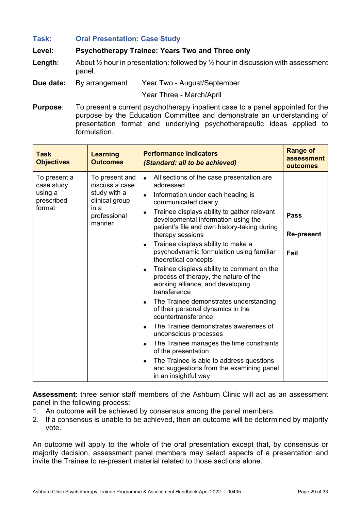#### **Task: Oral Presentation: Case Study**

#### **Level: Psychotherapy Trainee: Years Two and Three only**

- **Length**: About ½ hour in presentation: followed by ½ hour in discussion with assessment panel.
- **Due date:** By arrangement Year Two August/September

Year Three - March/April

**Purpose**: To present a current psychotherapy inpatient case to a panel appointed for the purpose by the Education Committee and demonstrate an understanding of presentation format and underlying psychotherapeutic ideas applied to formulation.

| <b>Task</b><br><b>Objectives</b>                              | <b>Learning</b><br><b>Outcomes</b>                                                                   | <b>Performance indicators</b><br>(Standard: all to be achieved)                                                                                                                                                                                                                                                                                                                                                                                                                                                                                                                                                                                                                                                                                                                                                                                                                                                                                                                                       | <b>Range of</b><br>assessment<br>outcomes |
|---------------------------------------------------------------|------------------------------------------------------------------------------------------------------|-------------------------------------------------------------------------------------------------------------------------------------------------------------------------------------------------------------------------------------------------------------------------------------------------------------------------------------------------------------------------------------------------------------------------------------------------------------------------------------------------------------------------------------------------------------------------------------------------------------------------------------------------------------------------------------------------------------------------------------------------------------------------------------------------------------------------------------------------------------------------------------------------------------------------------------------------------------------------------------------------------|-------------------------------------------|
| To present a<br>case study<br>using a<br>prescribed<br>format | To present and<br>discuss a case<br>study with a<br>clinical group<br>in a<br>professional<br>manner | All sections of the case presentation are<br>$\bullet$<br>addressed<br>Information under each heading is<br>$\bullet$<br>communicated clearly<br>Trainee displays ability to gather relevant<br>$\bullet$<br>developmental information using the<br>patient's file and own history-taking during<br>therapy sessions<br>Trainee displays ability to make a<br>$\bullet$<br>psychodynamic formulation using familiar<br>theoretical concepts<br>Trainee displays ability to comment on the<br>$\bullet$<br>process of therapy, the nature of the<br>working alliance, and developing<br>transference<br>The Trainee demonstrates understanding<br>$\bullet$<br>of their personal dynamics in the<br>countertransference<br>The Trainee demonstrates awareness of<br>$\bullet$<br>unconscious processes<br>The Trainee manages the time constraints<br>$\bullet$<br>of the presentation<br>The Trainee is able to address questions<br>and suggestions from the examining panel<br>in an insightful way | <b>Pass</b><br><b>Re-present</b><br>Fail  |

**Assessment**: three senior staff members of the Ashburn Clinic will act as an assessment panel in the following process:

- 1. An outcome will be achieved by consensus among the panel members.
- 2. If a consensus is unable to be achieved, then an outcome will be determined by majority vote.

An outcome will apply to the whole of the oral presentation except that, by consensus or majority decision, assessment panel members may select aspects of a presentation and invite the Trainee to re-present material related to those sections alone.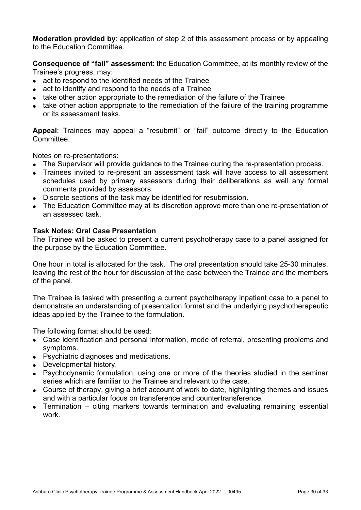**Moderation provided by**: application of step 2 of this assessment process or by appealing to the Education Committee.

**Consequence of "fail" assessment**: the Education Committee, at its monthly review of the Trainee's progress, may:

- act to respond to the identified needs of the Trainee
- act to identify and respond to the needs of a Trainee
- take other action appropriate to the remediation of the failure of the Trainee
- take other action appropriate to the remediation of the failure of the training programme or its assessment tasks.

**Appeal**: Trainees may appeal a "resubmit" or "fail" outcome directly to the Education Committee.

Notes on re-presentations:

- The Supervisor will provide guidance to the Trainee during the re-presentation process.
- Trainees invited to re-present an assessment task will have access to all assessment schedules used by primary assessors during their deliberations as well any formal comments provided by assessors.
- Discrete sections of the task may be identified for resubmission.
- The Education Committee may at its discretion approve more than one re-presentation of an assessed task.

#### **Task Notes: Oral Case Presentation**

The Trainee will be asked to present a current psychotherapy case to a panel assigned for the purpose by the Education Committee.

One hour in total is allocated for the task. The oral presentation should take 25-30 minutes, leaving the rest of the hour for discussion of the case between the Trainee and the members of the panel.

The Trainee is tasked with presenting a current psychotherapy inpatient case to a panel to demonstrate an understanding of presentation format and the underlying psychotherapeutic ideas applied by the Trainee to the formulation.

The following format should be used:

- Case identification and personal information, mode of referral, presenting problems and symptoms.
- Psychiatric diagnoses and medications.
- Developmental history.
- Psychodynamic formulation, using one or more of the theories studied in the seminar series which are familiar to the Trainee and relevant to the case.
- Course of therapy, giving a brief account of work to date, highlighting themes and issues and with a particular focus on transference and countertransference.
- Termination citing markers towards termination and evaluating remaining essential work.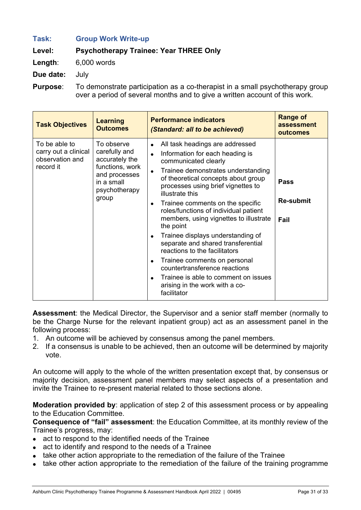# **Task: Group Work Write-up Level: Psychotherapy Trainee: Year THREE Only**

**Length**: 6,000 words

**Due date:** July

**Purpose**: To demonstrate participation as a co-therapist in a small psychotherapy group over a period of several months and to give a written account of this work.

| <b>Task Objectives</b>                                                | <b>Learning</b><br><b>Outcomes</b>                                                                                        | <b>Performance indicators</b><br>(Standard: all to be achieved)                                                                                                                                                                                                                                                                                                                                                                                                                                                                                                                                                                                                                                                                       | <b>Range of</b><br>assessment<br>outcomes |
|-----------------------------------------------------------------------|---------------------------------------------------------------------------------------------------------------------------|---------------------------------------------------------------------------------------------------------------------------------------------------------------------------------------------------------------------------------------------------------------------------------------------------------------------------------------------------------------------------------------------------------------------------------------------------------------------------------------------------------------------------------------------------------------------------------------------------------------------------------------------------------------------------------------------------------------------------------------|-------------------------------------------|
| To be able to<br>carry out a clinical<br>observation and<br>record it | To observe<br>carefully and<br>accurately the<br>functions, work<br>and processes<br>in a small<br>psychotherapy<br>group | All task headings are addressed<br>$\bullet$<br>Information for each heading is<br>$\bullet$<br>communicated clearly<br>Trainee demonstrates understanding<br>$\bullet$<br>of theoretical concepts about group<br>processes using brief vignettes to<br>illustrate this<br>Trainee comments on the specific<br>$\bullet$<br>roles/functions of individual patient<br>members, using vignettes to illustrate<br>the point<br>Trainee displays understanding of<br>$\bullet$<br>separate and shared transferential<br>reactions to the facilitators<br>Trainee comments on personal<br>$\bullet$<br>countertransference reactions<br>Trainee is able to comment on issues<br>$\bullet$<br>arising in the work with a co-<br>facilitator | Pass<br><b>Re-submit</b><br>Fail          |

**Assessment**: the Medical Director, the Supervisor and a senior staff member (normally to be the Charge Nurse for the relevant inpatient group) act as an assessment panel in the following process:

- 1. An outcome will be achieved by consensus among the panel members.
- 2. If a consensus is unable to be achieved, then an outcome will be determined by majority vote.

An outcome will apply to the whole of the written presentation except that, by consensus or majority decision, assessment panel members may select aspects of a presentation and invite the Trainee to re-present material related to those sections alone.

**Moderation provided by**: application of step 2 of this assessment process or by appealing to the Education Committee.

**Consequence of "fail" assessment**: the Education Committee, at its monthly review of the Trainee's progress, may:

- act to respond to the identified needs of the Trainee
- act to identify and respond to the needs of a Trainee
- take other action appropriate to the remediation of the failure of the Trainee
- take other action appropriate to the remediation of the failure of the training programme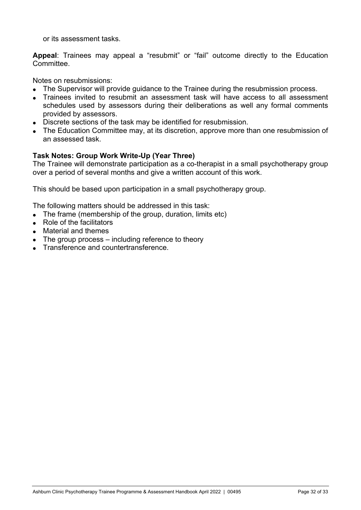or its assessment tasks.

**Appeal**: Trainees may appeal a "resubmit" or "fail" outcome directly to the Education Committee.

Notes on resubmissions:

- The Supervisor will provide guidance to the Trainee during the resubmission process.
- Trainees invited to resubmit an assessment task will have access to all assessment schedules used by assessors during their deliberations as well any formal comments provided by assessors.
- Discrete sections of the task may be identified for resubmission.
- The Education Committee may, at its discretion, approve more than one resubmission of an assessed task.

#### **Task Notes: Group Work Write-Up (Year Three)**

The Trainee will demonstrate participation as a co-therapist in a small psychotherapy group over a period of several months and give a written account of this work.

This should be based upon participation in a small psychotherapy group.

The following matters should be addressed in this task:

- The frame (membership of the group, duration, limits etc)
- Role of the facilitators
- Material and themes
- $\bullet$  The group process including reference to theory
- Transference and countertransference.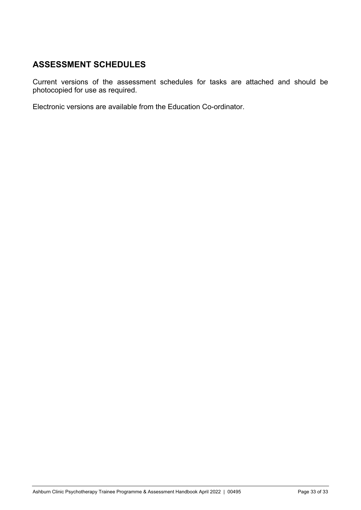# **ASSESSMENT SCHEDULES**

Current versions of the assessment schedules for tasks are attached and should be photocopied for use as required.

Electronic versions are available from the Education Co-ordinator.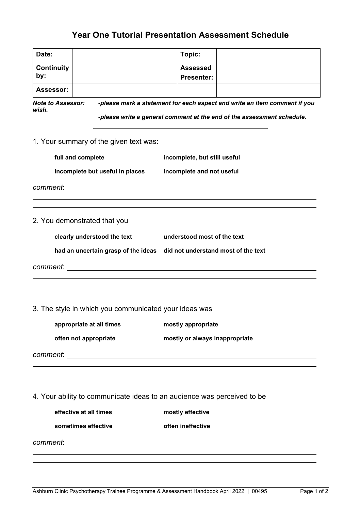# **Year One Tutorial Presentation Assessment Schedule**

| Date:                        |                                                                                                                | Topic:                                                                    |  |  |
|------------------------------|----------------------------------------------------------------------------------------------------------------|---------------------------------------------------------------------------|--|--|
| <b>Continuity</b><br>by:     |                                                                                                                | <b>Assessed</b><br><b>Presenter:</b>                                      |  |  |
| Assessor:                    |                                                                                                                |                                                                           |  |  |
| <b>Note to Assessor:</b>     |                                                                                                                | -please mark a statement for each aspect and write an item comment if you |  |  |
| wish.                        |                                                                                                                |                                                                           |  |  |
|                              |                                                                                                                | -please write a general comment at the end of the assessment schedule.    |  |  |
|                              | 1. Your summary of the given text was:                                                                         |                                                                           |  |  |
| full and complete            |                                                                                                                | incomplete, but still useful                                              |  |  |
|                              | incomplete but useful in places                                                                                | incomplete and not useful                                                 |  |  |
|                              |                                                                                                                |                                                                           |  |  |
|                              |                                                                                                                |                                                                           |  |  |
|                              |                                                                                                                |                                                                           |  |  |
| 2. You demonstrated that you |                                                                                                                |                                                                           |  |  |
|                              | clearly understood the text                                                                                    | understood most of the text                                               |  |  |
|                              |                                                                                                                | had an uncertain grasp of the ideas did not understand most of the text   |  |  |
|                              | comment: the comment of the comment of the comment of the comment of the comment of the comment of the comment |                                                                           |  |  |
|                              |                                                                                                                |                                                                           |  |  |
|                              | 3. The style in which you communicated your ideas was                                                          |                                                                           |  |  |
|                              | appropriate at all times                                                                                       | mostly appropriate                                                        |  |  |
| often not appropriate        |                                                                                                                | mostly or always inappropriate                                            |  |  |
|                              |                                                                                                                |                                                                           |  |  |
|                              |                                                                                                                |                                                                           |  |  |
|                              |                                                                                                                |                                                                           |  |  |
|                              |                                                                                                                | 4. Your ability to communicate ideas to an audience was perceived to be   |  |  |
| effective at all times       |                                                                                                                | mostly effective                                                          |  |  |
| sometimes effective          |                                                                                                                | often ineffective                                                         |  |  |
| comment:                     |                                                                                                                | <u> 1989 - Johann Barbara, martxa amerikan bashkar (</u>                  |  |  |

 $\overline{a}$  $\overline{a}$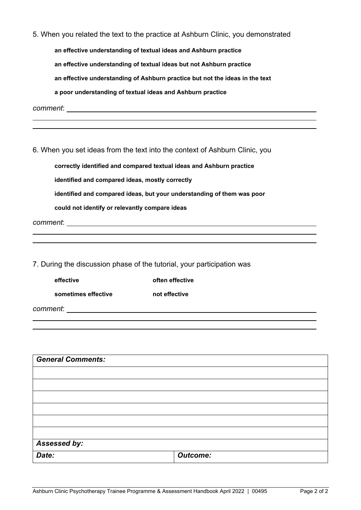|                                                 | 5. When you related the text to the practice at Ashburn Clinic, you demonstrated |
|-------------------------------------------------|----------------------------------------------------------------------------------|
|                                                 | an effective understanding of textual ideas and Ashburn practice                 |
|                                                 | an effective understanding of textual ideas but not Ashburn practice             |
|                                                 | an effective understanding of Ashburn practice but not the ideas in the text     |
|                                                 | a poor understanding of textual ideas and Ashburn practice                       |
|                                                 |                                                                                  |
|                                                 |                                                                                  |
|                                                 |                                                                                  |
|                                                 | 6. When you set ideas from the text into the context of Ashburn Clinic, you      |
|                                                 | correctly identified and compared textual ideas and Ashburn practice             |
| identified and compared ideas, mostly correctly |                                                                                  |
|                                                 | identified and compared ideas, but your understanding of them was poor           |
| could not identify or relevantly compare ideas  |                                                                                  |
|                                                 |                                                                                  |
|                                                 |                                                                                  |
|                                                 |                                                                                  |
|                                                 | 7. During the discussion phase of the tutorial, your participation was           |
| effective                                       | often effective                                                                  |
| sometimes effective                             | not effective                                                                    |

*comment*:

 $\overline{a}$  $\overline{a}$ 

| <b>General Comments:</b> |                 |
|--------------------------|-----------------|
|                          |                 |
|                          |                 |
|                          |                 |
|                          |                 |
|                          |                 |
|                          |                 |
| Assessed by:             |                 |
| Date:                    | <b>Outcome:</b> |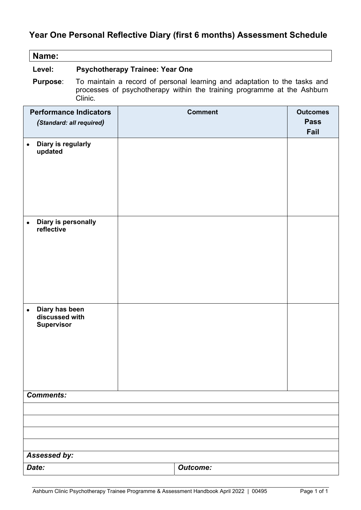# **Year One Personal Reflective Diary (first 6 months) Assessment Schedule**

| Name:                                                 |                                                                                                                                                                 |  |                 |  |                     |
|-------------------------------------------------------|-----------------------------------------------------------------------------------------------------------------------------------------------------------------|--|-----------------|--|---------------------|
| Level:                                                | <b>Psychotherapy Trainee: Year One</b>                                                                                                                          |  |                 |  |                     |
| <b>Purpose:</b>                                       | To maintain a record of personal learning and adaptation to the tasks and<br>processes of psychotherapy within the training programme at the Ashburn<br>Clinic. |  |                 |  |                     |
| <b>Performance Indicators</b>                         |                                                                                                                                                                 |  | <b>Comment</b>  |  | <b>Outcomes</b>     |
| (Standard: all required)                              |                                                                                                                                                                 |  |                 |  | <b>Pass</b><br>Fail |
| Diary is regularly<br>updated                         |                                                                                                                                                                 |  |                 |  |                     |
| Diary is personally<br>$\bullet$<br>reflective        |                                                                                                                                                                 |  |                 |  |                     |
| Diary has been<br>discussed with<br><b>Supervisor</b> |                                                                                                                                                                 |  |                 |  |                     |
| <b>Comments:</b>                                      |                                                                                                                                                                 |  |                 |  |                     |
|                                                       |                                                                                                                                                                 |  |                 |  |                     |
|                                                       |                                                                                                                                                                 |  |                 |  |                     |
|                                                       |                                                                                                                                                                 |  |                 |  |                     |
|                                                       |                                                                                                                                                                 |  |                 |  |                     |
| Assessed by:                                          |                                                                                                                                                                 |  |                 |  |                     |
| Date:                                                 |                                                                                                                                                                 |  | <b>Outcome:</b> |  |                     |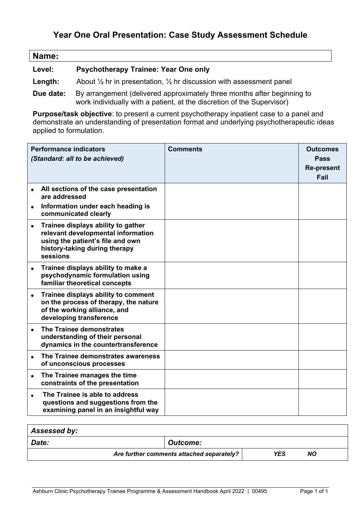# **Year One Oral Presentation: Case Study Assessment Schedule**

| Name:                              |                                             |
|------------------------------------|---------------------------------------------|
| <b>Level:</b>                      | <b>Psychotherapy Trainee: Year One only</b> |
| and the second state of the second |                                             |

- **Length:** About ½ hr in presentation, ½ hr discussion with assessment panel
- **Due date:** By arrangement (delivered approximately three months after beginning to work individually with a patient, at the discretion of the Supervisor)

**Purpose/task objective**: to present a current psychotherapy inpatient case to a panel and demonstrate an understanding of presentation format and underlying psychotherapeutic ideas applied to formulation.

|           | <b>Performance indicators</b><br>(Standard: all to be achieved)                                                                                           | <b>Comments</b> | <b>Outcomes</b><br>Pass<br><b>Re-present</b><br>Fail |
|-----------|-----------------------------------------------------------------------------------------------------------------------------------------------------------|-----------------|------------------------------------------------------|
|           | All sections of the case presentation<br>are addressed                                                                                                    |                 |                                                      |
|           | Information under each heading is<br>communicated clearly                                                                                                 |                 |                                                      |
| $\bullet$ | Trainee displays ability to gather<br>relevant developmental information<br>using the patient's file and own<br>history-taking during therapy<br>sessions |                 |                                                      |
| $\bullet$ | Trainee displays ability to make a<br>psychodynamic formulation using<br>familiar theoretical concepts                                                    |                 |                                                      |
|           | Trainee displays ability to comment<br>on the process of therapy, the nature<br>of the working alliance, and<br>developing transference                   |                 |                                                      |
|           | The Trainee demonstrates<br>understanding of their personal<br>dynamics in the countertransference                                                        |                 |                                                      |
| $\bullet$ | The Trainee demonstrates awareness<br>of unconscious processes                                                                                            |                 |                                                      |
| $\bullet$ | The Trainee manages the time<br>constraints of the presentation                                                                                           |                 |                                                      |
| $\bullet$ | The Trainee is able to address<br>questions and suggestions from the<br>examining panel in an insightful way                                              |                 |                                                      |

| Assessed by: |                                           |            |    |  |
|--------------|-------------------------------------------|------------|----|--|
| Date:        | Outcome:                                  |            |    |  |
|              | Are further comments attached separately? | <b>YES</b> | ΝO |  |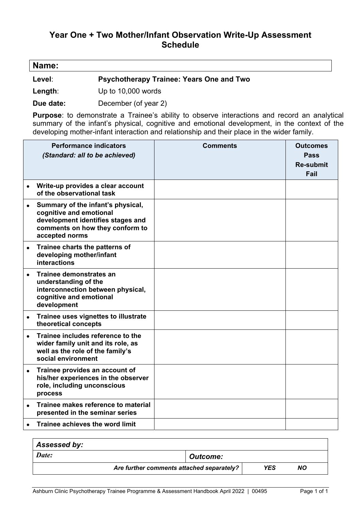# **Year One + Two Mother/Infant Observation Write-Up Assessment Schedule**

| Name: |  |  |
|-------|--|--|
|       |  |  |

**Level**: **Psychotherapy Trainee: Years One and Two** 

**Length**: Up to 10,000 words

**Due date:** December (of year 2)

**Purpose**: to demonstrate a Trainee's ability to observe interactions and record an analytical summary of the infant's physical, cognitive and emotional development, in the context of the developing mother-infant interaction and relationship and their place in the wider family.

|           | <b>Performance indicators</b><br>(Standard: all to be achieved)                                                                                        | <b>Comments</b> | <b>Outcomes</b><br>Pass<br><b>Re-submit</b><br>Fail |
|-----------|--------------------------------------------------------------------------------------------------------------------------------------------------------|-----------------|-----------------------------------------------------|
|           | Write-up provides a clear account<br>of the observational task                                                                                         |                 |                                                     |
|           | Summary of the infant's physical,<br>cognitive and emotional<br>development identifies stages and<br>comments on how they conform to<br>accepted norms |                 |                                                     |
| $\bullet$ | Trainee charts the patterns of<br>developing mother/infant<br><b>interactions</b>                                                                      |                 |                                                     |
|           | Trainee demonstrates an<br>understanding of the<br>interconnection between physical,<br>cognitive and emotional<br>development                         |                 |                                                     |
|           | Trainee uses vignettes to illustrate<br>theoretical concepts                                                                                           |                 |                                                     |
|           | Trainee includes reference to the<br>wider family unit and its role, as<br>well as the role of the family's<br>social environment                      |                 |                                                     |
|           | Trainee provides an account of<br>his/her experiences in the observer<br>role, including unconscious<br>process                                        |                 |                                                     |
| $\bullet$ | Trainee makes reference to material<br>presented in the seminar series                                                                                 |                 |                                                     |
|           | Trainee achieves the word limit                                                                                                                        |                 |                                                     |

| Assessed by:                              |                 |     |    |
|-------------------------------------------|-----------------|-----|----|
| Date:                                     | <b>Outcome:</b> |     |    |
| Are further comments attached separately? |                 | YES | NΟ |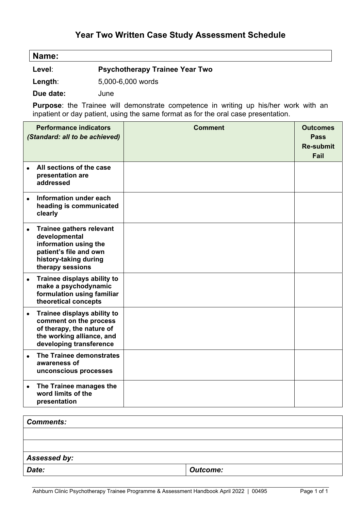# **Year Two Written Case Study Assessment Schedule**

| Name: |  |  |  |  |  |
|-------|--|--|--|--|--|
|-------|--|--|--|--|--|

**Level**: **Psychotherapy Trainee Year Two** 

**Length**: 5,000-6,000 words

**Due date:** June

**Purpose**: the Trainee will demonstrate competence in writing up his/her work with an inpatient or day patient, using the same format as for the oral case presentation.

|           | <b>Performance indicators</b><br>(Standard: all to be achieved)                                                                                  | <b>Comment</b> | <b>Outcomes</b><br><b>Pass</b><br><b>Re-submit</b><br>Fail |
|-----------|--------------------------------------------------------------------------------------------------------------------------------------------------|----------------|------------------------------------------------------------|
| $\bullet$ | All sections of the case<br>presentation are<br>addressed                                                                                        |                |                                                            |
| $\bullet$ | Information under each<br>heading is communicated<br>clearly                                                                                     |                |                                                            |
|           | <b>Trainee gathers relevant</b><br>developmental<br>information using the<br>patient's file and own<br>history-taking during<br>therapy sessions |                |                                                            |
| $\bullet$ | Trainee displays ability to<br>make a psychodynamic<br>formulation using familiar<br>theoretical concepts                                        |                |                                                            |
|           | Trainee displays ability to<br>comment on the process<br>of therapy, the nature of<br>the working alliance, and<br>developing transference       |                |                                                            |
|           | The Trainee demonstrates<br>awareness of<br>unconscious processes                                                                                |                |                                                            |
| $\bullet$ | The Trainee manages the<br>word limits of the<br>presentation                                                                                    |                |                                                            |

| <b>Comments:</b> |                 |
|------------------|-----------------|
|                  |                 |
|                  |                 |
| Assessed by:     |                 |
| Date:            | <b>Outcome:</b> |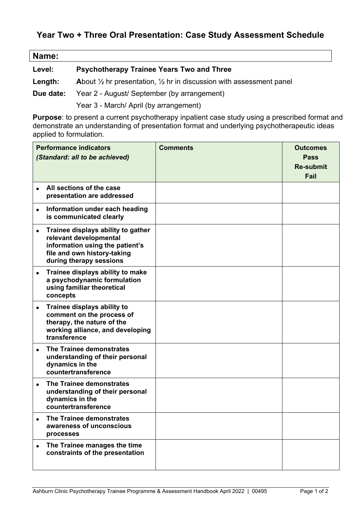# **Year Two + Three Oral Presentation: Case Study Assessment Schedule**

| Name:     |                                                                                           |
|-----------|-------------------------------------------------------------------------------------------|
| Level:    | <b>Psychotherapy Trainee Years Two and Three</b>                                          |
| Length:   | About $\frac{1}{2}$ hr presentation, $\frac{1}{2}$ hr in discussion with assessment panel |
| Due date: | Year 2 - August/ September (by arrangement)                                               |
|           |                                                                                           |

Year 3 - March/ April (by arrangement)

 $\mathsf{I}$ 

**Purpose**: to present a current psychotherapy inpatient case study using a prescribed format and demonstrate an understanding of presentation format and underlying psychotherapeutic ideas applied to formulation.

|           | <b>Performance indicators</b><br>(Standard: all to be achieved)                                                                                           | <b>Comments</b> | <b>Outcomes</b><br><b>Pass</b><br><b>Re-submit</b><br>Fail |
|-----------|-----------------------------------------------------------------------------------------------------------------------------------------------------------|-----------------|------------------------------------------------------------|
|           | All sections of the case<br>presentation are addressed                                                                                                    |                 |                                                            |
| $\bullet$ | Information under each heading<br>is communicated clearly                                                                                                 |                 |                                                            |
| $\bullet$ | Trainee displays ability to gather<br>relevant developmental<br>information using the patient's<br>file and own history-taking<br>during therapy sessions |                 |                                                            |
| ٠         | Trainee displays ability to make<br>a psychodynamic formulation<br>using familiar theoretical<br>concepts                                                 |                 |                                                            |
|           | Trainee displays ability to<br>comment on the process of<br>therapy, the nature of the<br>working alliance, and developing<br>transference                |                 |                                                            |
| $\bullet$ | The Trainee demonstrates<br>understanding of their personal<br>dynamics in the<br>countertransference                                                     |                 |                                                            |
|           | The Trainee demonstrates<br>understanding of their personal<br>dynamics in the<br>countertransference                                                     |                 |                                                            |
|           | The Trainee demonstrates<br>awareness of unconscious<br>processes                                                                                         |                 |                                                            |
|           | The Trainee manages the time<br>constraints of the presentation                                                                                           |                 |                                                            |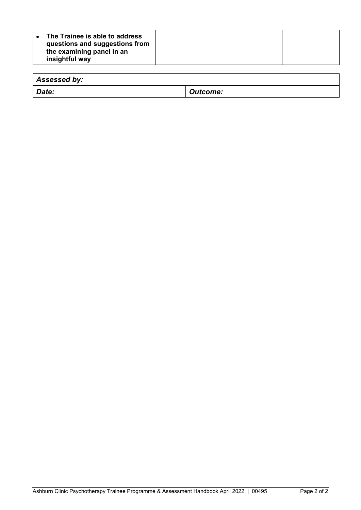| The Trainee is able to address<br>questions and suggestions from<br>the examining panel in an<br>insightful way |  |  |
|-----------------------------------------------------------------------------------------------------------------|--|--|
|-----------------------------------------------------------------------------------------------------------------|--|--|

| Assessed by: |                 |
|--------------|-----------------|
| Date:        | <b>Outcome:</b> |